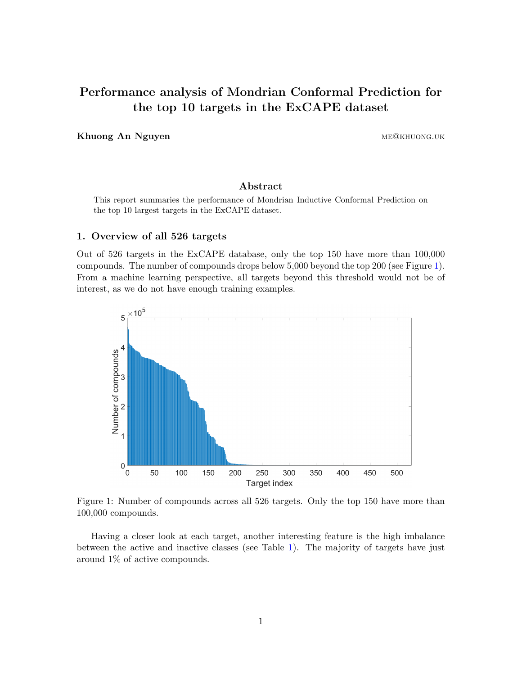# Performance analysis of Mondrian Conformal Prediction for the top 10 targets in the ExCAPE dataset

Khuong An Nguyen membersukan membersukan membersukan membersukan membersukan membersukan membersukan membersuk

# Abstract

This report summaries the performance of Mondrian Inductive Conformal Prediction on the top 10 largest targets in the ExCAPE dataset.

# 1. Overview of all 526 targets

Out of 526 targets in the ExCAPE database, only the top 150 have more than 100,000 compounds. The number of compounds drops below 5,000 beyond the top 200 (see Figure [1\)](#page-0-0). From a machine learning perspective, all targets beyond this threshold would not be of interest, as we do not have enough training examples.

<span id="page-0-0"></span>

Figure 1: Number of compounds across all 526 targets. Only the top 150 have more than 100,000 compounds.

Having a closer look at each target, another interesting feature is the high imbalance between the active and inactive classes (see Table [1\)](#page-1-0). The majority of targets have just around 1% of active compounds.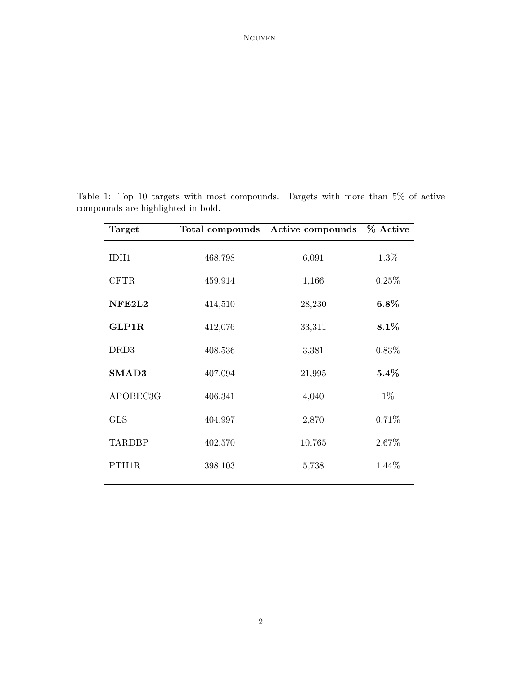# Nguyen

| Target           | Total compounds | Active compounds | % Active |
|------------------|-----------------|------------------|----------|
| IDH1             | 468,798         | 6,091            | $1.3\%$  |
| <b>CFTR</b>      | 459,914         | 1,166            | 0.25%    |
| NFE2L2           | 414,510         | 28,230           | $6.8\%$  |
| GLP1R            | 412,076         | 33,311           | 8.1%     |
| DRD <sub>3</sub> | 408,536         | 3,381            | $0.83\%$ |
| SMAD3            | 407,094         | 21,995           | $5.4\%$  |
| APOBEC3G         | 406,341         | 4,040            | $1\%$    |
| <b>GLS</b>       | 404,997         | 2,870            | 0.71%    |
| <b>TARDBP</b>    | 402,570         | 10,765           | 2.67%    |
| PTH1R            | 398,103         | 5,738            | 1.44%    |
|                  |                 |                  |          |

<span id="page-1-0"></span>Table 1: Top 10 targets with most compounds. Targets with more than 5% of active compounds are highlighted in bold.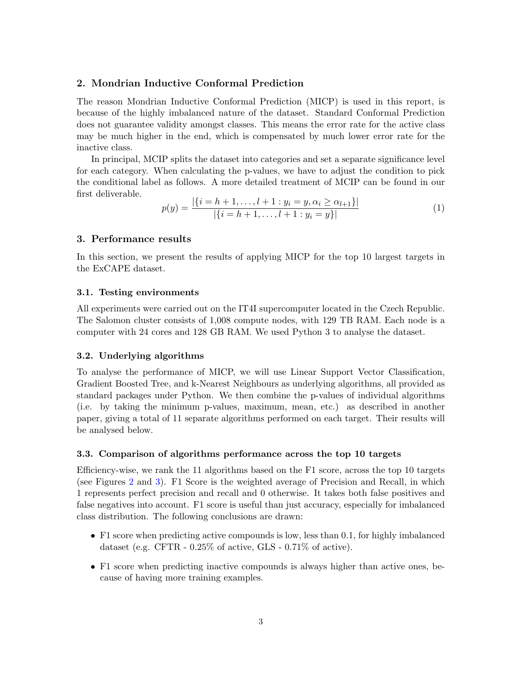# 2. Mondrian Inductive Conformal Prediction

The reason Mondrian Inductive Conformal Prediction (MICP) is used in this report, is because of the highly imbalanced nature of the dataset. Standard Conformal Prediction does not guarantee validity amongst classes. This means the error rate for the active class may be much higher in the end, which is compensated by much lower error rate for the inactive class.

In principal, MCIP splits the dataset into categories and set a separate significance level for each category. When calculating the p-values, we have to adjust the condition to pick the conditional label as follows. A more detailed treatment of MCIP can be found in our first deliverable.

$$
p(y) = \frac{|\{i = h+1, \dots, l+1 : y_i = y, \alpha_i \ge \alpha_{l+1}\}|}{|\{i = h+1, \dots, l+1 : y_i = y\}|}
$$
(1)

# 3. Performance results

In this section, we present the results of applying MICP for the top 10 largest targets in the ExCAPE dataset.

### 3.1. Testing environments

All experiments were carried out on the IT4I supercomputer located in the Czech Republic. The Salomon cluster consists of 1,008 compute nodes, with 129 TB RAM. Each node is a computer with 24 cores and 128 GB RAM. We used Python 3 to analyse the dataset.

# 3.2. Underlying algorithms

To analyse the performance of MICP, we will use Linear Support Vector Classification, Gradient Boosted Tree, and k-Nearest Neighbours as underlying algorithms, all provided as standard packages under Python. We then combine the p-values of individual algorithms (i.e. by taking the minimum p-values, maximum, mean, etc.) as described in another paper, giving a total of 11 separate algorithms performed on each target. Their results will be analysed below.

#### 3.3. Comparison of algorithms performance across the top 10 targets

Efficiency-wise, we rank the 11 algorithms based on the F1 score, across the top 10 targets (see Figures [2](#page-4-0) and [3\)](#page-5-0). F1 Score is the weighted average of Precision and Recall, in which 1 represents perfect precision and recall and 0 otherwise. It takes both false positives and false negatives into account. F1 score is useful than just accuracy, especially for imbalanced class distribution. The following conclusions are drawn:

- F1 score when predicting active compounds is low, less than 0.1, for highly imbalanced dataset (e.g. CFTR - 0.25% of active, GLS - 0.71% of active).
- F1 score when predicting inactive compounds is always higher than active ones, because of having more training examples.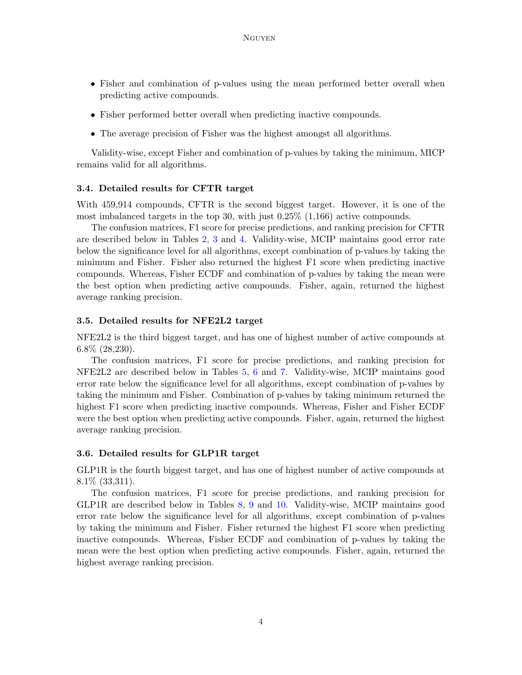- Fisher and combination of p-values using the mean performed better overall when predicting active compounds.
- Fisher performed better overall when predicting inactive compounds.
- The average precision of Fisher was the highest amongst all algorithms.

Validity-wise, except Fisher and combination of p-values by taking the minimum, MICP remains valid for all algorithms.

## 3.4. Detailed results for CFTR target

With 459,914 compounds, CFTR is the second biggest target. However, it is one of the most imbalanced targets in the top 30, with just 0.25% (1,166) active compounds.

The confusion matrices, F1 score for precise predictions, and ranking precision for CFTR are described below in Tables [2,](#page-6-0) [3](#page-7-0) and [4.](#page-7-1) Validity-wise, MCIP maintains good error rate below the significance level for all algorithms, except combination of p-values by taking the minimum and Fisher. Fisher also returned the highest F1 score when predicting inactive compounds. Whereas, Fisher ECDF and combination of p-values by taking the mean were the best option when predicting active compounds. Fisher, again, returned the highest average ranking precision.

### 3.5. Detailed results for NFE2L2 target

NFE2L2 is the third biggest target, and has one of highest number of active compounds at 6.8% (28,230).

The confusion matrices, F1 score for precise predictions, and ranking precision for NFE2L2 are described below in Tables [5,](#page-8-0) [6](#page-9-0) and [7.](#page-9-1) Validity-wise, MCIP maintains good error rate below the significance level for all algorithms, except combination of p-values by taking the minimum and Fisher. Combination of p-values by taking minimum returned the highest F1 score when predicting inactive compounds. Whereas, Fisher and Fisher ECDF were the best option when predicting active compounds. Fisher, again, returned the highest average ranking precision.

#### 3.6. Detailed results for GLP1R target

GLP1R is the fourth biggest target, and has one of highest number of active compounds at 8.1% (33,311).

The confusion matrices, F1 score for precise predictions, and ranking precision for GLP1R are described below in Tables [8,](#page-10-0) [9](#page-11-0) and [10.](#page-11-1) Validity-wise, MCIP maintains good error rate below the significance level for all algorithms, except combination of p-values by taking the minimum and Fisher. Fisher returned the highest F1 score when predicting inactive compounds. Whereas, Fisher ECDF and combination of p-values by taking the mean were the best option when predicting active compounds. Fisher, again, returned the highest average ranking precision.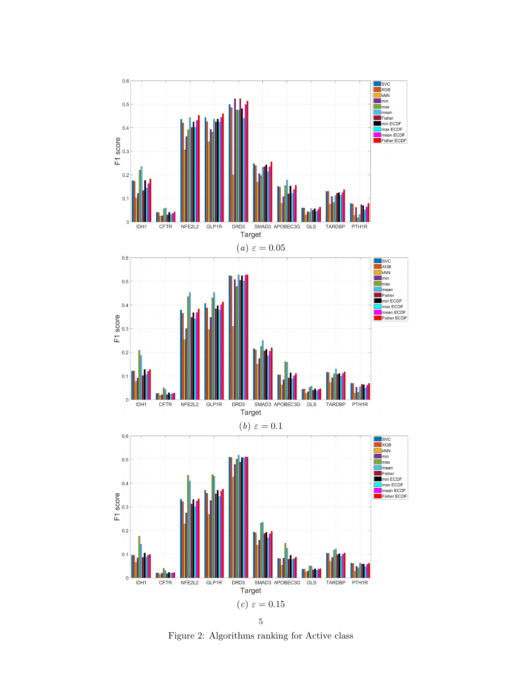<span id="page-4-0"></span>

5

Figure 2: Algorithms ranking for Active class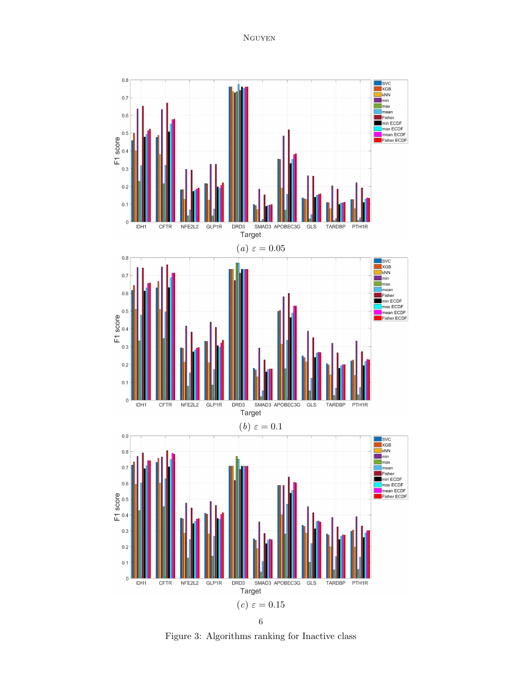Nguyen

<span id="page-5-0"></span>

Figure 3: Algorithms ranking for Inactive class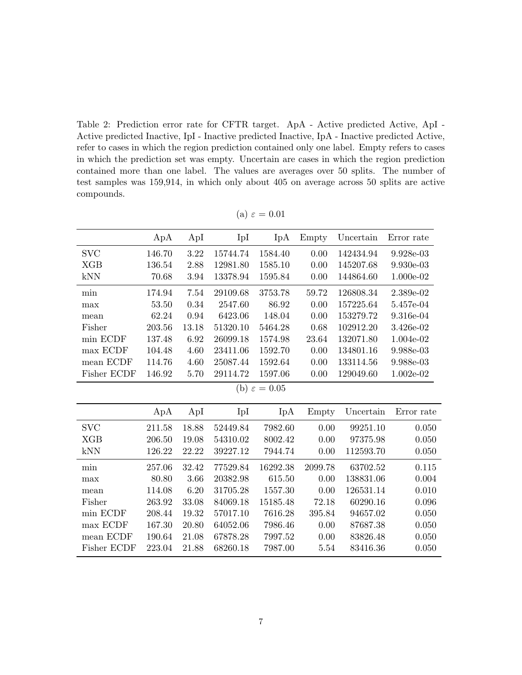<span id="page-6-0"></span>Table 2: Prediction error rate for CFTR target. ApA - Active predicted Active, ApI - Active predicted Inactive, IpI - Inactive predicted Inactive, IpA - Inactive predicted Active, refer to cases in which the region prediction contained only one label. Empty refers to cases in which the prediction set was empty. Uncertain are cases in which the region prediction contained more than one label. The values are averages over 50 splits. The number of test samples was 159,914, in which only about 405 on average across 50 splits are active compounds.

|                          | ApA    | ApI   | IpI      | IpA      | Empty   | Uncertain | Error rate  |  |  |  |  |
|--------------------------|--------|-------|----------|----------|---------|-----------|-------------|--|--|--|--|
| $_{\mathrm{SVC}}$        | 146.70 | 3.22  | 15744.74 | 1584.40  | 0.00    | 142434.94 | 9.928e-03   |  |  |  |  |
| <b>XGB</b>               | 136.54 | 2.88  | 12981.80 | 1585.10  | 0.00    | 145207.68 | 9.930e-03   |  |  |  |  |
| kNN                      | 70.68  | 3.94  | 13378.94 | 1595.84  | 0.00    | 144864.60 | 1.000e-02   |  |  |  |  |
| min                      | 174.94 | 7.54  | 29109.68 | 3753.78  | 59.72   | 126808.34 | 2.389e-02   |  |  |  |  |
| max                      | 53.50  | 0.34  | 2547.60  | 86.92    | 0.00    | 157225.64 | 5.457e-04   |  |  |  |  |
| mean                     | 62.24  | 0.94  | 6423.06  | 148.04   | 0.00    | 153279.72 | 9.316e-04   |  |  |  |  |
| Fisher                   | 203.56 | 13.18 | 51320.10 | 5464.28  | 0.68    | 102912.20 | 3.426e-02   |  |  |  |  |
| min ECDF                 | 137.48 | 6.92  | 26099.18 | 1574.98  | 23.64   | 132071.80 | 1.004e-02   |  |  |  |  |
| max ECDF                 | 104.48 | 4.60  | 23411.06 | 1592.70  | 0.00    | 134801.16 | 9.988e-03   |  |  |  |  |
| mean ECDF                | 114.76 | 4.60  | 25087.44 | 1592.64  | 0.00    | 133114.56 | 9.988e-03   |  |  |  |  |
| Fisher ECDF              | 146.92 | 5.70  | 29114.72 | 1597.06  | 0.00    | 129049.60 | $1.002e-02$ |  |  |  |  |
| (b) $\varepsilon = 0.05$ |        |       |          |          |         |           |             |  |  |  |  |
|                          |        |       |          |          |         |           |             |  |  |  |  |
|                          | ApA    | ApI   | IpI      | IpA      | Empty   | Uncertain | Error rate  |  |  |  |  |
| <b>SVC</b>               | 211.58 | 18.88 | 52449.84 | 7982.60  | 0.00    | 99251.10  | 0.050       |  |  |  |  |
| <b>XGB</b>               | 206.50 | 19.08 | 54310.02 | 8002.42  | 0.00    | 97375.98  | 0.050       |  |  |  |  |
| kNN                      | 126.22 | 22.22 | 39227.12 | 7944.74  | 0.00    | 112593.70 | 0.050       |  |  |  |  |
| min                      | 257.06 | 32.42 | 77529.84 | 16292.38 | 2099.78 | 63702.52  | 0.115       |  |  |  |  |
| max                      | 80.80  | 3.66  | 20382.98 | 615.50   | 0.00    | 138831.06 | 0.004       |  |  |  |  |
| mean                     | 114.08 | 6.20  | 31705.28 | 1557.30  | 0.00    | 126531.14 | 0.010       |  |  |  |  |
| Fisher                   | 263.92 | 33.08 | 84069.18 | 15185.48 | 72.18   | 60290.16  | 0.096       |  |  |  |  |
| min ECDF                 | 208.44 | 19.32 | 57017.10 | 7616.28  | 395.84  | 94657.02  | 0.050       |  |  |  |  |
| max ECDF                 | 167.30 | 20.80 | 64052.06 | 7986.46  | 0.00    | 87687.38  | 0.050       |  |  |  |  |
| mean ECDF                | 190.64 | 21.08 | 67878.28 | 7997.52  | 0.00    | 83826.48  | 0.050       |  |  |  |  |
| Fisher ECDF              | 223.04 | 21.88 | 68260.18 | 7987.00  | 5.54    | 83416.36  | 0.050       |  |  |  |  |

(a)  $\varepsilon = 0.01$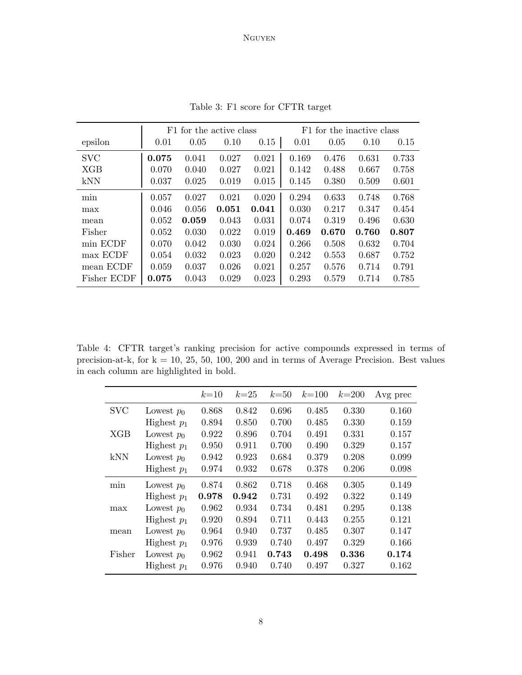<span id="page-7-0"></span>

|             |       | F1 for the active class |       |       |       | F1 for the inactive class |       |       |  |  |
|-------------|-------|-------------------------|-------|-------|-------|---------------------------|-------|-------|--|--|
| epsilon     | 0.01  | 0.05                    | 0.10  | 0.15  | 0.01  | 0.05                      | 0.10  | 0.15  |  |  |
| <b>SVC</b>  | 0.075 | 0.041                   | 0.027 | 0.021 | 0.169 | 0.476                     | 0.631 | 0.733 |  |  |
| XGB         | 0.070 | 0.040                   | 0.027 | 0.021 | 0.142 | 0.488                     | 0.667 | 0.758 |  |  |
| kNN         | 0.037 | 0.025                   | 0.019 | 0.015 | 0.145 | 0.380                     | 0.509 | 0.601 |  |  |
| min         | 0.057 | 0.027                   | 0.021 | 0.020 | 0.294 | 0.633                     | 0.748 | 0.768 |  |  |
| max         | 0.046 | 0.056                   | 0.051 | 0.041 | 0.030 | 0.217                     | 0.347 | 0.454 |  |  |
| mean        | 0.052 | 0.059                   | 0.043 | 0.031 | 0.074 | 0.319                     | 0.496 | 0.630 |  |  |
| Fisher      | 0.052 | 0.030                   | 0.022 | 0.019 | 0.469 | 0.670                     | 0.760 | 0.807 |  |  |
| min ECDF    | 0.070 | 0.042                   | 0.030 | 0.024 | 0.266 | 0.508                     | 0.632 | 0.704 |  |  |
| max ECDF    | 0.054 | 0.032                   | 0.023 | 0.020 | 0.242 | 0.553                     | 0.687 | 0.752 |  |  |
| mean ECDF   | 0.059 | 0.037                   | 0.026 | 0.021 | 0.257 | 0.576                     | 0.714 | 0.791 |  |  |
| Fisher ECDF | 0.075 | 0.043                   | 0.029 | 0.023 | 0.293 | 0.579                     | 0.714 | 0.785 |  |  |

Table 3: F1 score for CFTR target

<span id="page-7-1"></span>Table 4: CFTR target's ranking precision for active compounds expressed in terms of precision-at-k, for  $k = 10, 25, 50, 100, 200$  and in terms of Average Precision. Best values in each column are highlighted in bold.

|            |               | $k=10$ | $k=25$ | $k=50$ | $k = 100$ | $k = 200$ | Avg prec |
|------------|---------------|--------|--------|--------|-----------|-----------|----------|
| <b>SVC</b> | Lowest $p_0$  | 0.868  | 0.842  | 0.696  | 0.485     | 0.330     | 0.160    |
|            | Highest $p_1$ | 0.894  | 0.850  | 0.700  | 0.485     | 0.330     | 0.159    |
| <b>XGB</b> | Lowest $p_0$  | 0.922  | 0.896  | 0.704  | 0.491     | 0.331     | 0.157    |
|            | Highest $p_1$ | 0.950  | 0.911  | 0.700  | 0.490     | 0.329     | 0.157    |
| kNN        | Lowest $p_0$  | 0.942  | 0.923  | 0.684  | 0.379     | 0.208     | 0.099    |
|            | Highest $p_1$ | 0.974  | 0.932  | 0.678  | 0.378     | 0.206     | 0.098    |
| min        | Lowest $p_0$  | 0.874  | 0.862  | 0.718  | 0.468     | 0.305     | 0.149    |
|            | Highest $p_1$ | 0.978  | 0.942  | 0.731  | 0.492     | 0.322     | 0.149    |
| max        | Lowest $p_0$  | 0.962  | 0.934  | 0.734  | 0.481     | 0.295     | 0.138    |
|            | Highest $p_1$ | 0.920  | 0.894  | 0.711  | 0.443     | 0.255     | 0.121    |
| mean       | Lowest $p_0$  | 0.964  | 0.940  | 0.737  | 0.485     | 0.307     | 0.147    |
|            | Highest $p_1$ | 0.976  | 0.939  | 0.740  | 0.497     | 0.329     | 0.166    |
| Fisher     | Lowest $p_0$  | 0.962  | 0.941  | 0.743  | 0.498     | 0.336     | 0.174    |
|            | Highest $p_1$ | 0.976  | 0.940  | 0.740  | 0.497     | 0.327     | 0.162    |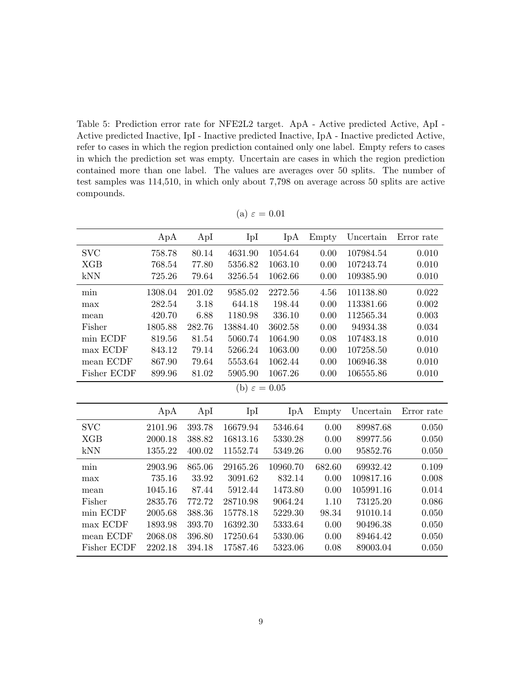<span id="page-8-0"></span>Table 5: Prediction error rate for NFE2L2 target. ApA - Active predicted Active, ApI - Active predicted Inactive, IpI - Inactive predicted Inactive, IpA - Inactive predicted Active, refer to cases in which the region prediction contained only one label. Empty refers to cases in which the prediction set was empty. Uncertain are cases in which the region prediction contained more than one label. The values are averages over 50 splits. The number of test samples was 114,510, in which only about 7,798 on average across 50 splits are active compounds.

| ApA<br>ApI<br>IpI<br>IpA<br>Uncertain<br>Error rate<br>Empty<br><b>SVC</b><br>1054.64<br>0.010<br>758.78<br>80.14<br>4631.90<br>0.00<br>107984.54<br>5356.82<br>1063.10<br><b>XGB</b><br>768.54<br>77.80<br>0.00<br>107243.74<br>0.010<br>kNN<br>725.26<br>79.64<br>3256.54<br>1062.66<br>0.00<br>109385.90<br>0.010<br>1308.04<br>201.02<br>9585.02<br>2272.56<br>4.56<br>101138.80<br>0.022<br>min<br>282.54<br>3.18<br>644.18<br>198.44<br>0.00<br>113381.66<br>0.002<br>max<br>6.88<br>336.10<br>420.70<br>1180.98<br>0.00<br>112565.34<br>0.003<br>mean<br>Fisher<br>1805.88<br>282.76<br>13884.40<br>3602.58<br>0.00<br>94934.38<br>0.034 |  |  |  |  |  |  |  |  |  |  |  |
|-------------------------------------------------------------------------------------------------------------------------------------------------------------------------------------------------------------------------------------------------------------------------------------------------------------------------------------------------------------------------------------------------------------------------------------------------------------------------------------------------------------------------------------------------------------------------------------------------------------------------------------------------|--|--|--|--|--|--|--|--|--|--|--|
|                                                                                                                                                                                                                                                                                                                                                                                                                                                                                                                                                                                                                                                 |  |  |  |  |  |  |  |  |  |  |  |
|                                                                                                                                                                                                                                                                                                                                                                                                                                                                                                                                                                                                                                                 |  |  |  |  |  |  |  |  |  |  |  |
|                                                                                                                                                                                                                                                                                                                                                                                                                                                                                                                                                                                                                                                 |  |  |  |  |  |  |  |  |  |  |  |
|                                                                                                                                                                                                                                                                                                                                                                                                                                                                                                                                                                                                                                                 |  |  |  |  |  |  |  |  |  |  |  |
|                                                                                                                                                                                                                                                                                                                                                                                                                                                                                                                                                                                                                                                 |  |  |  |  |  |  |  |  |  |  |  |
|                                                                                                                                                                                                                                                                                                                                                                                                                                                                                                                                                                                                                                                 |  |  |  |  |  |  |  |  |  |  |  |
|                                                                                                                                                                                                                                                                                                                                                                                                                                                                                                                                                                                                                                                 |  |  |  |  |  |  |  |  |  |  |  |
|                                                                                                                                                                                                                                                                                                                                                                                                                                                                                                                                                                                                                                                 |  |  |  |  |  |  |  |  |  |  |  |
| min ECDF<br>81.54<br>5060.74<br>1064.90<br>0.08<br>107483.18<br>0.010<br>819.56                                                                                                                                                                                                                                                                                                                                                                                                                                                                                                                                                                 |  |  |  |  |  |  |  |  |  |  |  |
| max ECDF<br>843.12<br>79.14<br>5266.24<br>1063.00<br>0.00<br>107258.50<br>0.010                                                                                                                                                                                                                                                                                                                                                                                                                                                                                                                                                                 |  |  |  |  |  |  |  |  |  |  |  |
| mean ECDF<br>5553.64<br>1062.44<br>867.90<br>79.64<br>0.00<br>106946.38<br>0.010                                                                                                                                                                                                                                                                                                                                                                                                                                                                                                                                                                |  |  |  |  |  |  |  |  |  |  |  |
| Fisher ECDF<br>81.02<br>5905.90<br>1067.26<br>0.00<br>106555.86<br>0.010<br>899.96                                                                                                                                                                                                                                                                                                                                                                                                                                                                                                                                                              |  |  |  |  |  |  |  |  |  |  |  |
| (b) $\varepsilon = 0.05$                                                                                                                                                                                                                                                                                                                                                                                                                                                                                                                                                                                                                        |  |  |  |  |  |  |  |  |  |  |  |
|                                                                                                                                                                                                                                                                                                                                                                                                                                                                                                                                                                                                                                                 |  |  |  |  |  |  |  |  |  |  |  |
| ApA<br>ApI<br>IpI<br>IpA<br>Uncertain<br>Error rate<br>Empty                                                                                                                                                                                                                                                                                                                                                                                                                                                                                                                                                                                    |  |  |  |  |  |  |  |  |  |  |  |
| <b>SVC</b><br>393.78<br>16679.94<br>5346.64<br>0.00<br>2101.96<br>89987.68<br>0.050                                                                                                                                                                                                                                                                                                                                                                                                                                                                                                                                                             |  |  |  |  |  |  |  |  |  |  |  |
| 16813.16<br><b>XGB</b><br>2000.18<br>388.82<br>5330.28<br>0.00<br>89977.56<br>0.050                                                                                                                                                                                                                                                                                                                                                                                                                                                                                                                                                             |  |  |  |  |  |  |  |  |  |  |  |
| kNN<br>400.02<br>0.00<br>1355.22<br>11552.74<br>5349.26<br>95852.76<br>0.050                                                                                                                                                                                                                                                                                                                                                                                                                                                                                                                                                                    |  |  |  |  |  |  |  |  |  |  |  |
| 865.06<br>29165.26<br>10960.70<br>682.60<br>2903.96<br>69932.42<br>0.109<br>min                                                                                                                                                                                                                                                                                                                                                                                                                                                                                                                                                                 |  |  |  |  |  |  |  |  |  |  |  |
| 832.14<br>0.00<br>109817.16<br>735.16<br>33.92<br>3091.62<br>0.008<br>max                                                                                                                                                                                                                                                                                                                                                                                                                                                                                                                                                                       |  |  |  |  |  |  |  |  |  |  |  |
| 0.00<br>1045.16<br>87.44<br>5912.44<br>1473.80<br>105991.16<br>0.014<br>mean                                                                                                                                                                                                                                                                                                                                                                                                                                                                                                                                                                    |  |  |  |  |  |  |  |  |  |  |  |
| Fisher<br>2835.76<br>772.72<br>28710.98<br>9064.24<br>1.10<br>73125.20<br>0.086                                                                                                                                                                                                                                                                                                                                                                                                                                                                                                                                                                 |  |  |  |  |  |  |  |  |  |  |  |
| min ECDF<br>388.36<br>15778.18<br>5229.30<br>98.34<br>91010.14<br>0.050<br>2005.68                                                                                                                                                                                                                                                                                                                                                                                                                                                                                                                                                              |  |  |  |  |  |  |  |  |  |  |  |
| max ECDF<br>393.70<br>16392.30<br>5333.64<br>0.00<br>90496.38<br>0.050<br>1893.98                                                                                                                                                                                                                                                                                                                                                                                                                                                                                                                                                               |  |  |  |  |  |  |  |  |  |  |  |
| mean ECDF<br>2068.08<br>396.80<br>17250.64<br>5330.06<br>0.00<br>89464.42<br>0.050                                                                                                                                                                                                                                                                                                                                                                                                                                                                                                                                                              |  |  |  |  |  |  |  |  |  |  |  |
| Fisher ECDF<br>2202.18<br>394.18<br>17587.46<br>5323.06<br>0.08<br>89003.04<br>0.050                                                                                                                                                                                                                                                                                                                                                                                                                                                                                                                                                            |  |  |  |  |  |  |  |  |  |  |  |

(a)  $\varepsilon = 0.01$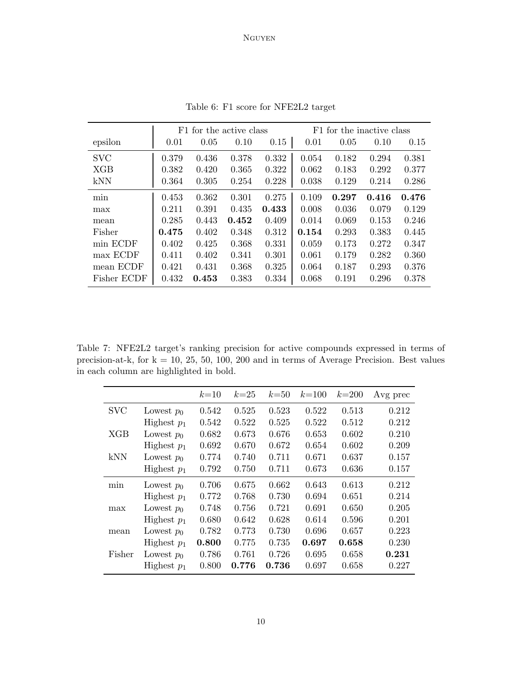<span id="page-9-0"></span>

|             |       | F1 for the active class |       |       |       | F1 for the inactive class |       |       |  |  |
|-------------|-------|-------------------------|-------|-------|-------|---------------------------|-------|-------|--|--|
| epsilon     | 0.01  | 0.05                    | 0.10  | 0.15  | 0.01  | 0.05                      | 0.10  | 0.15  |  |  |
| <b>SVC</b>  | 0.379 | 0.436                   | 0.378 | 0.332 | 0.054 | 0.182                     | 0.294 | 0.381 |  |  |
| XGB         | 0.382 | 0.420                   | 0.365 | 0.322 | 0.062 | 0.183                     | 0.292 | 0.377 |  |  |
| kNN         | 0.364 | 0.305                   | 0.254 | 0.228 | 0.038 | 0.129                     | 0.214 | 0.286 |  |  |
| min         | 0.453 | 0.362                   | 0.301 | 0.275 | 0.109 | 0.297                     | 0.416 | 0.476 |  |  |
| max         | 0.211 | 0.391                   | 0.435 | 0.433 | 0.008 | 0.036                     | 0.079 | 0.129 |  |  |
| mean        | 0.285 | 0.443                   | 0.452 | 0.409 | 0.014 | 0.069                     | 0.153 | 0.246 |  |  |
| Fisher      | 0.475 | 0.402                   | 0.348 | 0.312 | 0.154 | 0.293                     | 0.383 | 0.445 |  |  |
| min ECDF    | 0.402 | 0.425                   | 0.368 | 0.331 | 0.059 | 0.173                     | 0.272 | 0.347 |  |  |
| max ECDF    | 0.411 | 0.402                   | 0.341 | 0.301 | 0.061 | 0.179                     | 0.282 | 0.360 |  |  |
| mean ECDF   | 0.421 | 0.431                   | 0.368 | 0.325 | 0.064 | 0.187                     | 0.293 | 0.376 |  |  |
| Fisher ECDF | 0.432 | 0.453                   | 0.383 | 0.334 | 0.068 | 0.191                     | 0.296 | 0.378 |  |  |

Table 6: F1 score for NFE2L2 target

<span id="page-9-1"></span>Table 7: NFE2L2 target's ranking precision for active compounds expressed in terms of precision-at-k, for  $k = 10, 25, 50, 100, 200$  and in terms of Average Precision. Best values in each column are highlighted in bold.

|            |               | $k=10$ | $k=25$ | $k=50$ | $k = 100$ | $k = 200$ | Avg prec |
|------------|---------------|--------|--------|--------|-----------|-----------|----------|
| <b>SVC</b> | Lowest $p_0$  | 0.542  | 0.525  | 0.523  | 0.522     | 0.513     | 0.212    |
|            | Highest $p_1$ | 0.542  | 0.522  | 0.525  | 0.522     | 0.512     | 0.212    |
| XGB        | Lowest $p_0$  | 0.682  | 0.673  | 0.676  | 0.653     | 0.602     | 0.210    |
|            | Highest $p_1$ | 0.692  | 0.670  | 0.672  | 0.654     | 0.602     | 0.209    |
| kNN        | Lowest $p_0$  | 0.774  | 0.740  | 0.711  | 0.671     | 0.637     | 0.157    |
|            | Highest $p_1$ | 0.792  | 0.750  | 0.711  | 0.673     | 0.636     | 0.157    |
| min        | Lowest $p_0$  | 0.706  | 0.675  | 0.662  | 0.643     | 0.613     | 0.212    |
|            | Highest $p_1$ | 0.772  | 0.768  | 0.730  | 0.694     | 0.651     | 0.214    |
| max        | Lowest $p_0$  | 0.748  | 0.756  | 0.721  | 0.691     | 0.650     | 0.205    |
|            | Highest $p_1$ | 0.680  | 0.642  | 0.628  | 0.614     | 0.596     | 0.201    |
| mean       | Lowest $p_0$  | 0.782  | 0.773  | 0.730  | 0.696     | 0.657     | 0.223    |
|            | Highest $p_1$ | 0.800  | 0.775  | 0.735  | 0.697     | 0.658     | 0.230    |
| Fisher     | Lowest $p_0$  | 0.786  | 0.761  | 0.726  | 0.695     | 0.658     | 0.231    |
|            | Highest $p_1$ | 0.800  | 0.776  | 0.736  | 0.697     | 0.658     | 0.227    |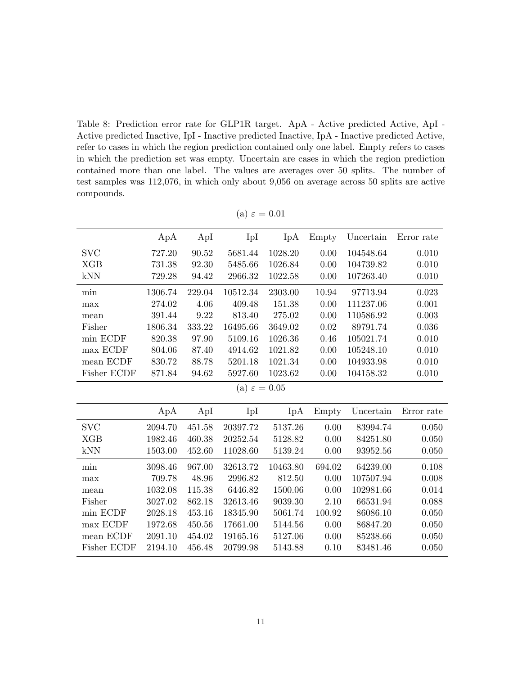<span id="page-10-0"></span>Table 8: Prediction error rate for GLP1R target. ApA - Active predicted Active, ApI - Active predicted Inactive, IpI - Inactive predicted Inactive, IpA - Inactive predicted Active, refer to cases in which the region prediction contained only one label. Empty refers to cases in which the prediction set was empty. Uncertain are cases in which the region prediction contained more than one label. The values are averages over 50 splits. The number of test samples was 112,076, in which only about 9,056 on average across 50 splits are active compounds.

|                          | ApA     | ApI    | IpI      | IpA      | Empty  | Uncertain | Error rate |  |  |  |  |
|--------------------------|---------|--------|----------|----------|--------|-----------|------------|--|--|--|--|
| <b>SVC</b>               | 727.20  | 90.52  | 5681.44  | 1028.20  | 0.00   | 104548.64 | 0.010      |  |  |  |  |
| <b>XGB</b>               | 731.38  | 92.30  | 5485.66  | 1026.84  | 0.00   | 104739.82 | 0.010      |  |  |  |  |
| kNN                      | 729.28  | 94.42  | 2966.32  | 1022.58  | 0.00   | 107263.40 | 0.010      |  |  |  |  |
| min                      | 1306.74 | 229.04 | 10512.34 | 2303.00  | 10.94  | 97713.94  | 0.023      |  |  |  |  |
| max                      | 274.02  | 4.06   | 409.48   | 151.38   | 0.00   | 111237.06 | 0.001      |  |  |  |  |
| mean                     | 391.44  | 9.22   | 813.40   | 275.02   | 0.00   | 110586.92 | 0.003      |  |  |  |  |
| Fisher                   | 1806.34 | 333.22 | 16495.66 | 3649.02  | 0.02   | 89791.74  | 0.036      |  |  |  |  |
| min ECDF                 | 820.38  | 97.90  | 5109.16  | 1026.36  | 0.46   | 105021.74 | 0.010      |  |  |  |  |
| max ECDF                 | 804.06  | 87.40  | 4914.62  | 1021.82  | 0.00   | 105248.10 | 0.010      |  |  |  |  |
| mean ECDF                | 830.72  | 88.78  | 5201.18  | 1021.34  | 0.00   | 104933.98 | 0.010      |  |  |  |  |
| Fisher ECDF              | 871.84  | 94.62  | 5927.60  | 1023.62  | 0.00   | 104158.32 | 0.010      |  |  |  |  |
| (a) $\varepsilon = 0.05$ |         |        |          |          |        |           |            |  |  |  |  |
|                          |         |        |          |          |        |           |            |  |  |  |  |
|                          | ApA     | ApI    | IpI      | IpA      | Empty  | Uncertain | Error rate |  |  |  |  |
| <b>SVC</b>               | 2094.70 | 451.58 | 20397.72 | 5137.26  | 0.00   | 83994.74  | 0.050      |  |  |  |  |
| <b>XGB</b>               | 1982.46 | 460.38 | 20252.54 | 5128.82  | 0.00   | 84251.80  | 0.050      |  |  |  |  |
| kNN                      | 1503.00 | 452.60 | 11028.60 | 5139.24  | 0.00   | 93952.56  | 0.050      |  |  |  |  |
| min                      | 3098.46 | 967.00 | 32613.72 | 10463.80 | 694.02 | 64239.00  | 0.108      |  |  |  |  |
| max                      | 709.78  | 48.96  | 2996.82  | 812.50   | 0.00   | 107507.94 | 0.008      |  |  |  |  |
| mean                     | 1032.08 | 115.38 | 6446.82  | 1500.06  | 0.00   | 102981.66 | 0.014      |  |  |  |  |
| Fisher                   | 3027.02 | 862.18 | 32613.46 | 9039.30  | 2.10   | 66531.94  | 0.088      |  |  |  |  |
| min ECDF                 | 2028.18 | 453.16 | 18345.90 | 5061.74  | 100.92 | 86086.10  | 0.050      |  |  |  |  |
| max ECDF                 | 1972.68 | 450.56 | 17661.00 | 5144.56  | 0.00   | 86847.20  | 0.050      |  |  |  |  |
| mean ECDF                | 2091.10 | 454.02 | 19165.16 | 5127.06  | 0.00   | 85238.66  | 0.050      |  |  |  |  |
| Fisher ECDF              | 2194.10 | 456.48 | 20799.98 | 5143.88  | 0.10   | 83481.46  | 0.050      |  |  |  |  |

(a)  $\varepsilon = 0.01$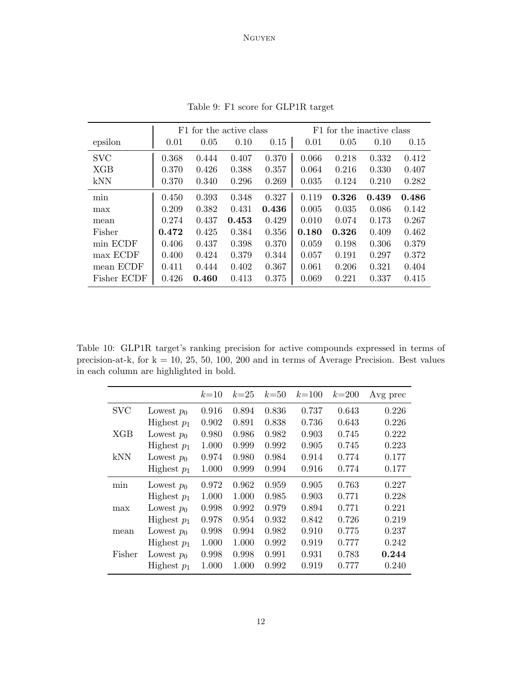<span id="page-11-0"></span>

|             |       | F1 for the active class |       |       |       | F1 for the inactive class |       |       |  |  |
|-------------|-------|-------------------------|-------|-------|-------|---------------------------|-------|-------|--|--|
| epsilon     | 0.01  | 0.05                    | 0.10  | 0.15  | 0.01  | 0.05                      | 0.10  | 0.15  |  |  |
| <b>SVC</b>  | 0.368 | 0.444                   | 0.407 | 0.370 | 0.066 | 0.218                     | 0.332 | 0.412 |  |  |
| <b>XGB</b>  | 0.370 | 0.426                   | 0.388 | 0.357 | 0.064 | 0.216                     | 0.330 | 0.407 |  |  |
| kNN         | 0.370 | 0.340                   | 0.296 | 0.269 | 0.035 | 0.124                     | 0.210 | 0.282 |  |  |
| min         | 0.450 | 0.393                   | 0.348 | 0.327 | 0.119 | 0.326                     | 0.439 | 0.486 |  |  |
| max         | 0.209 | 0.382                   | 0.431 | 0.436 | 0.005 | 0.035                     | 0.086 | 0.142 |  |  |
| mean        | 0.274 | 0.437                   | 0.453 | 0.429 | 0.010 | 0.074                     | 0.173 | 0.267 |  |  |
| Fisher      | 0.472 | 0.425                   | 0.384 | 0.356 | 0.180 | 0.326                     | 0.409 | 0.462 |  |  |
| min ECDF    | 0.406 | 0.437                   | 0.398 | 0.370 | 0.059 | 0.198                     | 0.306 | 0.379 |  |  |
| max ECDF    | 0.400 | 0.424                   | 0.379 | 0.344 | 0.057 | 0.191                     | 0.297 | 0.372 |  |  |
| mean ECDF   | 0.411 | 0.444                   | 0.402 | 0.367 | 0.061 | 0.206                     | 0.321 | 0.404 |  |  |
| Fisher ECDF | 0.426 | 0.460                   | 0.413 | 0.375 | 0.069 | 0.221                     | 0.337 | 0.415 |  |  |

Table 9: F1 score for GLP1R target

<span id="page-11-1"></span>Table 10: GLP1R target's ranking precision for active compounds expressed in terms of precision-at-k, for  $k = 10, 25, 50, 100, 200$  and in terms of Average Precision. Best values in each column are highlighted in bold.

|            |               | $k=10$ | $k=25$ | $k=50$ | $k = 100$ | $k = 200$ | Avg prec |
|------------|---------------|--------|--------|--------|-----------|-----------|----------|
| <b>SVC</b> | Lowest $p_0$  | 0.916  | 0.894  | 0.836  | 0.737     | 0.643     | 0.226    |
|            | Highest $p_1$ | 0.902  | 0.891  | 0.838  | 0.736     | 0.643     | 0.226    |
| XGB        | Lowest $p_0$  | 0.980  | 0.986  | 0.982  | 0.903     | 0.745     | 0.222    |
|            | Highest $p_1$ | 1.000  | 0.999  | 0.992  | 0.905     | 0.745     | 0.223    |
| kNN        | Lowest $p_0$  | 0.974  | 0.980  | 0.984  | 0.914     | 0.774     | 0.177    |
|            | Highest $p_1$ | 1.000  | 0.999  | 0.994  | 0.916     | 0.774     | 0.177    |
| min        | Lowest $p_0$  | 0.972  | 0.962  | 0.959  | 0.905     | 0.763     | 0.227    |
|            | Highest $p_1$ | 1.000  | 1.000  | 0.985  | 0.903     | 0.771     | 0.228    |
| max        | Lowest $p_0$  | 0.998  | 0.992  | 0.979  | 0.894     | 0.771     | 0.221    |
|            | Highest $p_1$ | 0.978  | 0.954  | 0.932  | 0.842     | 0.726     | 0.219    |
| mean       | Lowest $p_0$  | 0.998  | 0.994  | 0.982  | 0.910     | 0.775     | 0.237    |
|            | Highest $p_1$ | 1.000  | 1.000  | 0.992  | 0.919     | 0.777     | 0.242    |
| Fisher     | Lowest $p_0$  | 0.998  | 0.998  | 0.991  | 0.931     | 0.783     | 0.244    |
|            | Highest $p_1$ | 1.000  | 1.000  | 0.992  | 0.919     | 0.777     | 0.240    |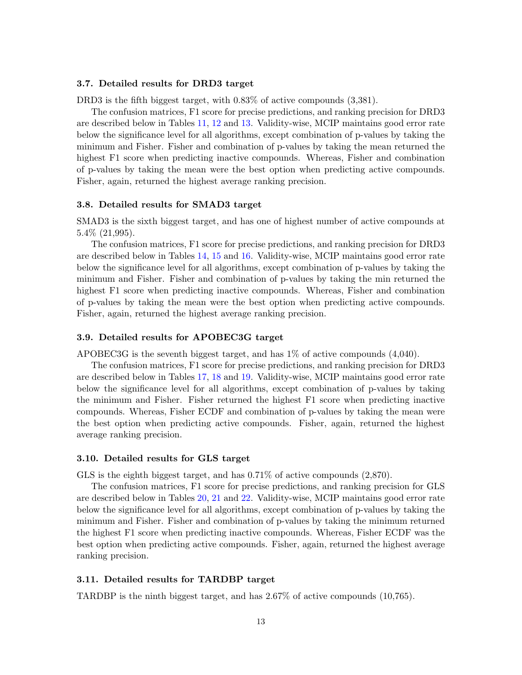# 3.7. Detailed results for DRD3 target

DRD3 is the fifth biggest target, with 0.83% of active compounds (3,381).

The confusion matrices, F1 score for precise predictions, and ranking precision for DRD3 are described below in Tables [11,](#page-13-0) [12](#page-14-0) and [13.](#page-14-1) Validity-wise, MCIP maintains good error rate below the significance level for all algorithms, except combination of p-values by taking the minimum and Fisher. Fisher and combination of p-values by taking the mean returned the highest F1 score when predicting inactive compounds. Whereas, Fisher and combination of p-values by taking the mean were the best option when predicting active compounds. Fisher, again, returned the highest average ranking precision.

#### 3.8. Detailed results for SMAD3 target

SMAD3 is the sixth biggest target, and has one of highest number of active compounds at 5.4% (21,995).

The confusion matrices, F1 score for precise predictions, and ranking precision for DRD3 are described below in Tables [14,](#page-15-0) [15](#page-16-0) and [16.](#page-16-1) Validity-wise, MCIP maintains good error rate below the significance level for all algorithms, except combination of p-values by taking the minimum and Fisher. Fisher and combination of p-values by taking the min returned the highest F1 score when predicting inactive compounds. Whereas, Fisher and combination of p-values by taking the mean were the best option when predicting active compounds. Fisher, again, returned the highest average ranking precision.

# 3.9. Detailed results for APOBEC3G target

APOBEC3G is the seventh biggest target, and has 1% of active compounds (4,040).

The confusion matrices, F1 score for precise predictions, and ranking precision for DRD3 are described below in Tables [17,](#page-17-0) [18](#page-18-0) and [19.](#page-18-1) Validity-wise, MCIP maintains good error rate below the significance level for all algorithms, except combination of p-values by taking the minimum and Fisher. Fisher returned the highest F1 score when predicting inactive compounds. Whereas, Fisher ECDF and combination of p-values by taking the mean were the best option when predicting active compounds. Fisher, again, returned the highest average ranking precision.

#### 3.10. Detailed results for GLS target

GLS is the eighth biggest target, and has 0.71% of active compounds (2,870).

The confusion matrices, F1 score for precise predictions, and ranking precision for GLS are described below in Tables [20,](#page-19-0) [21](#page-20-0) and [22.](#page-20-1) Validity-wise, MCIP maintains good error rate below the significance level for all algorithms, except combination of p-values by taking the minimum and Fisher. Fisher and combination of p-values by taking the minimum returned the highest F1 score when predicting inactive compounds. Whereas, Fisher ECDF was the best option when predicting active compounds. Fisher, again, returned the highest average ranking precision.

#### 3.11. Detailed results for TARDBP target

TARDBP is the ninth biggest target, and has 2.67% of active compounds (10,765).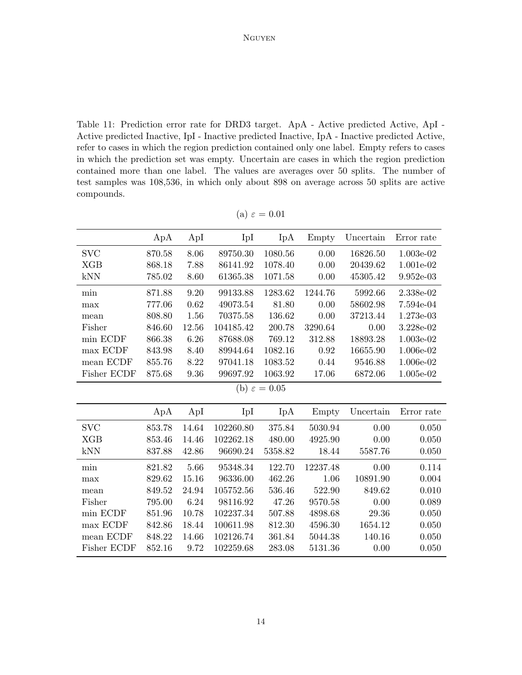<span id="page-13-0"></span>Table 11: Prediction error rate for DRD3 target. ApA - Active predicted Active, ApI - Active predicted Inactive, IpI - Inactive predicted Inactive, IpA - Inactive predicted Active, refer to cases in which the region prediction contained only one label. Empty refers to cases in which the prediction set was empty. Uncertain are cases in which the region prediction contained more than one label. The values are averages over 50 splits. The number of test samples was 108,536, in which only about 898 on average across 50 splits are active compounds.

|                          | ApA    | ApI   | IpI       | IpA     | Empty    | Uncertain | Error rate |  |  |  |  |
|--------------------------|--------|-------|-----------|---------|----------|-----------|------------|--|--|--|--|
|                          |        |       |           |         |          |           |            |  |  |  |  |
| <b>SVC</b>               | 870.58 | 8.06  | 89750.30  | 1080.56 | 0.00     | 16826.50  | 1.003e-02  |  |  |  |  |
| <b>XGB</b>               | 868.18 | 7.88  | 86141.92  | 1078.40 | 0.00     | 20439.62  | 1.001e-02  |  |  |  |  |
| kNN                      | 785.02 | 8.60  | 61365.38  | 1071.58 | 0.00     | 45305.42  | 9.952e-03  |  |  |  |  |
| min                      | 871.88 | 9.20  | 99133.88  | 1283.62 | 1244.76  | 5992.66   | 2.338e-02  |  |  |  |  |
| max                      | 777.06 | 0.62  | 49073.54  | 81.80   | 0.00     | 58602.98  | 7.594e-04  |  |  |  |  |
| mean                     | 808.80 | 1.56  | 70375.58  | 136.62  | 0.00     | 37213.44  | 1.273e-03  |  |  |  |  |
| Fisher                   | 846.60 | 12.56 | 104185.42 | 200.78  | 3290.64  | 0.00      | 3.228e-02  |  |  |  |  |
| min ECDF                 | 866.38 | 6.26  | 87688.08  | 769.12  | 312.88   | 18893.28  | 1.003e-02  |  |  |  |  |
| max ECDF                 | 843.98 | 8.40  | 89944.64  | 1082.16 | 0.92     | 16655.90  | 1.006e-02  |  |  |  |  |
| mean ECDF                | 855.76 | 8.22  | 97041.18  | 1083.52 | 0.44     | 9546.88   | 1.006e-02  |  |  |  |  |
| Fisher ECDF              | 875.68 | 9.36  | 99697.92  | 1063.92 | 17.06    | 6872.06   | 1.005e-02  |  |  |  |  |
| (b) $\varepsilon = 0.05$ |        |       |           |         |          |           |            |  |  |  |  |
|                          |        |       |           |         |          |           |            |  |  |  |  |
|                          | ApA    | ApI   | IpI       | IpA     | Empty    | Uncertain | Error rate |  |  |  |  |
| <b>SVC</b>               | 853.78 | 14.64 | 102260.80 | 375.84  | 5030.94  | 0.00      | 0.050      |  |  |  |  |
| XGB                      | 853.46 | 14.46 | 102262.18 | 480.00  | 4925.90  | 0.00      | 0.050      |  |  |  |  |
| kNN                      | 837.88 | 42.86 | 96690.24  | 5358.82 | 18.44    | 5587.76   | 0.050      |  |  |  |  |
| min                      | 821.82 | 5.66  | 95348.34  | 122.70  | 12237.48 | 0.00      | 0.114      |  |  |  |  |
| max                      | 829.62 | 15.16 | 96336.00  | 462.26  | 1.06     | 10891.90  | 0.004      |  |  |  |  |
| mean                     | 849.52 | 24.94 | 105752.56 | 536.46  | 522.90   | 849.62    | 0.010      |  |  |  |  |
| Fisher                   | 795.00 | 6.24  | 98116.92  | 47.26   | 9570.58  | 0.00      | 0.089      |  |  |  |  |
| min ECDF                 | 851.96 | 10.78 | 102237.34 | 507.88  | 4898.68  | 29.36     | 0.050      |  |  |  |  |
| max ECDF                 | 842.86 | 18.44 | 100611.98 | 812.30  | 4596.30  | 1654.12   | 0.050      |  |  |  |  |
| mean ECDF                | 848.22 | 14.66 | 102126.74 | 361.84  | 5044.38  | 140.16    | 0.050      |  |  |  |  |
| Fisher ECDF              | 852.16 | 9.72  | 102259.68 | 283.08  | 5131.36  | 0.00      | 0.050      |  |  |  |  |

(a)  $\varepsilon = 0.01$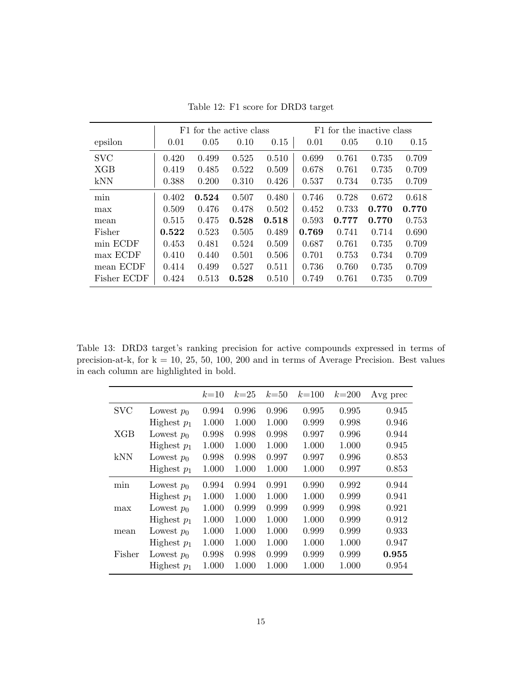<span id="page-14-0"></span>

|             |       | F1 for the active class |       |       |       | F1 for the inactive class |       |       |  |  |
|-------------|-------|-------------------------|-------|-------|-------|---------------------------|-------|-------|--|--|
| epsilon     | 0.01  | 0.05                    | 0.10  | 0.15  | 0.01  | 0.05                      | 0.10  | 0.15  |  |  |
| <b>SVC</b>  | 0.420 | 0.499                   | 0.525 | 0.510 | 0.699 | 0.761                     | 0.735 | 0.709 |  |  |
| <b>XGB</b>  | 0.419 | 0.485                   | 0.522 | 0.509 | 0.678 | 0.761                     | 0.735 | 0.709 |  |  |
| <b>kNN</b>  | 0.388 | 0.200                   | 0.310 | 0.426 | 0.537 | 0.734                     | 0.735 | 0.709 |  |  |
| min         | 0.402 | 0.524                   | 0.507 | 0.480 | 0.746 | 0.728                     | 0.672 | 0.618 |  |  |
| max         | 0.509 | 0.476                   | 0.478 | 0.502 | 0.452 | 0.733                     | 0.770 | 0.770 |  |  |
| mean        | 0.515 | 0.475                   | 0.528 | 0.518 | 0.593 | 0.777                     | 0.770 | 0.753 |  |  |
| Fisher      | 0.522 | 0.523                   | 0.505 | 0.489 | 0.769 | 0.741                     | 0.714 | 0.690 |  |  |
| min ECDF    | 0.453 | 0.481                   | 0.524 | 0.509 | 0.687 | 0.761                     | 0.735 | 0.709 |  |  |
| max ECDF    | 0.410 | 0.440                   | 0.501 | 0.506 | 0.701 | 0.753                     | 0.734 | 0.709 |  |  |
| mean ECDF   | 0.414 | 0.499                   | 0.527 | 0.511 | 0.736 | 0.760                     | 0.735 | 0.709 |  |  |
| Fisher ECDF | 0.424 | 0.513                   | 0.528 | 0.510 | 0.749 | 0.761                     | 0.735 | 0.709 |  |  |

Table 12: F1 score for DRD3 target

<span id="page-14-1"></span>Table 13: DRD3 target's ranking precision for active compounds expressed in terms of precision-at-k, for  $k = 10, 25, 50, 100, 200$  and in terms of Average Precision. Best values in each column are highlighted in bold.

|            |               | $k=10$ | $k=25$ | $k=50$ | $k = 100$ | $k = 200$ | Avg prec |
|------------|---------------|--------|--------|--------|-----------|-----------|----------|
| <b>SVC</b> | Lowest $p_0$  | 0.994  | 0.996  | 0.996  | 0.995     | 0.995     | 0.945    |
|            | Highest $p_1$ | 1.000  | 1.000  | 1.000  | 0.999     | 0.998     | 0.946    |
| XGB        | Lowest $p_0$  | 0.998  | 0.998  | 0.998  | 0.997     | 0.996     | 0.944    |
|            | Highest $p_1$ | 1.000  | 1.000  | 1.000  | 1.000     | 1.000     | 0.945    |
| kNN        | Lowest $p_0$  | 0.998  | 0.998  | 0.997  | 0.997     | 0.996     | 0.853    |
|            | Highest $p_1$ | 1.000  | 1.000  | 1.000  | 1.000     | 0.997     | 0.853    |
| min        | Lowest $p_0$  | 0.994  | 0.994  | 0.991  | 0.990     | 0.992     | 0.944    |
|            | Highest $p_1$ | 1.000  | 1.000  | 1.000  | 1.000     | 0.999     | 0.941    |
| max        | Lowest $p_0$  | 1.000  | 0.999  | 0.999  | 0.999     | 0.998     | 0.921    |
|            | Highest $p_1$ | 1.000  | 1.000  | 1.000  | 1.000     | 0.999     | 0.912    |
| mean       | Lowest $p_0$  | 1.000  | 1.000  | 1.000  | 0.999     | 0.999     | 0.933    |
|            | Highest $p_1$ | 1.000  | 1.000  | 1.000  | 1.000     | 1.000     | 0.947    |
| Fisher     | Lowest $p_0$  | 0.998  | 0.998  | 0.999  | 0.999     | 0.999     | 0.955    |
|            | Highest $p_1$ | 1.000  | 1.000  | 1.000  | 1.000     | 1.000     | 0.954    |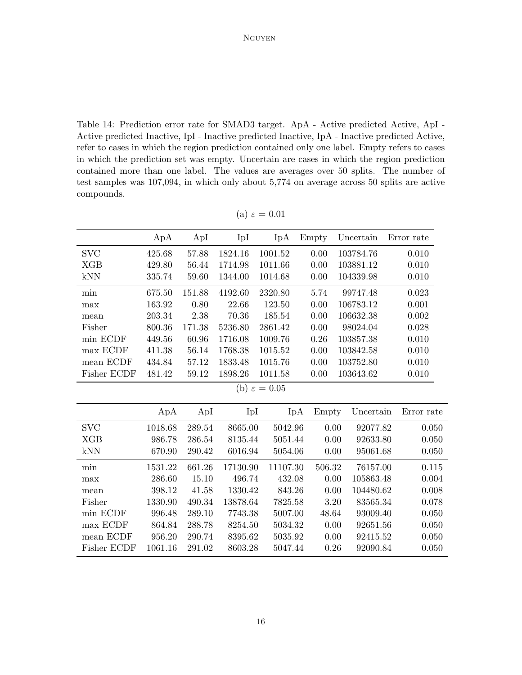<span id="page-15-0"></span>Table 14: Prediction error rate for SMAD3 target. ApA - Active predicted Active, ApI - Active predicted Inactive, IpI - Inactive predicted Inactive, IpA - Inactive predicted Active, refer to cases in which the region prediction contained only one label. Empty refers to cases in which the prediction set was empty. Uncertain are cases in which the region prediction contained more than one label. The values are averages over 50 splits. The number of test samples was 107,094, in which only about 5,774 on average across 50 splits are active compounds.

|                          | ApA     | ApI    | IpI      | IpA      | Empty  | Uncertain | Error rate |  |  |
|--------------------------|---------|--------|----------|----------|--------|-----------|------------|--|--|
| <b>SVC</b>               | 425.68  | 57.88  | 1824.16  | 1001.52  | 0.00   | 103784.76 | 0.010      |  |  |
| <b>XGB</b>               | 429.80  | 56.44  | 1714.98  | 1011.66  | 0.00   | 103881.12 | 0.010      |  |  |
| kNN                      | 335.74  | 59.60  | 1344.00  | 1014.68  | 0.00   | 104339.98 | 0.010      |  |  |
| min                      | 675.50  | 151.88 | 4192.60  | 2320.80  | 5.74   | 99747.48  | 0.023      |  |  |
| max                      | 163.92  | 0.80   | 22.66    | 123.50   | 0.00   | 106783.12 | 0.001      |  |  |
| mean                     | 203.34  | 2.38   | 70.36    | 185.54   | 0.00   | 106632.38 | 0.002      |  |  |
| Fisher                   | 800.36  | 171.38 | 5236.80  | 2861.42  | 0.00   | 98024.04  | 0.028      |  |  |
| min ECDF                 | 449.56  | 60.96  | 1716.08  | 1009.76  | 0.26   | 103857.38 | 0.010      |  |  |
| max ECDF                 | 411.38  | 56.14  | 1768.38  | 1015.52  | 0.00   | 103842.58 | 0.010      |  |  |
| mean ECDF                | 434.84  | 57.12  | 1833.48  | 1015.76  | 0.00   | 103752.80 | 0.010      |  |  |
| Fisher ECDF              | 481.42  | 59.12  | 1898.26  | 1011.58  | 0.00   | 103643.62 | 0.010      |  |  |
| (b) $\varepsilon = 0.05$ |         |        |          |          |        |           |            |  |  |
|                          | ApA     | ApI    | IpI      | IpA      | Empty  | Uncertain | Error rate |  |  |
| <b>SVC</b>               | 1018.68 | 289.54 | 8665.00  | 5042.96  | 0.00   | 92077.82  | 0.050      |  |  |
| <b>XGB</b>               | 986.78  | 286.54 | 8135.44  | 5051.44  | 0.00   | 92633.80  | 0.050      |  |  |
| kNN                      | 670.90  | 290.42 | 6016.94  | 5054.06  | 0.00   | 95061.68  | 0.050      |  |  |
| min                      | 1531.22 | 661.26 | 17130.90 | 11107.30 | 506.32 | 76157.00  | 0.115      |  |  |
| max                      | 286.60  | 15.10  | 496.74   | 432.08   | 0.00   | 105863.48 | 0.004      |  |  |
| mean                     | 398.12  | 41.58  | 1330.42  | 843.26   | 0.00   | 104480.62 | 0.008      |  |  |
| Fisher                   | 1330.90 | 490.34 | 13878.64 | 7825.58  | 3.20   | 83565.34  | 0.078      |  |  |
| min ECDF                 | 996.48  | 289.10 | 7743.38  | 5007.00  | 48.64  | 93009.40  | 0.050      |  |  |
| max ECDF                 | 864.84  | 288.78 | 8254.50  | 5034.32  | 0.00   | 92651.56  | 0.050      |  |  |
| mean ECDF                | 956.20  | 290.74 | 8395.62  | 5035.92  | 0.00   | 92415.52  | 0.050      |  |  |
| Fisher ECDF              | 1061.16 | 291.02 | 8603.28  | 5047.44  | 0.26   | 92090.84  | 0.050      |  |  |

| Я. |  | 0.01 |  |
|----|--|------|--|
|    |  |      |  |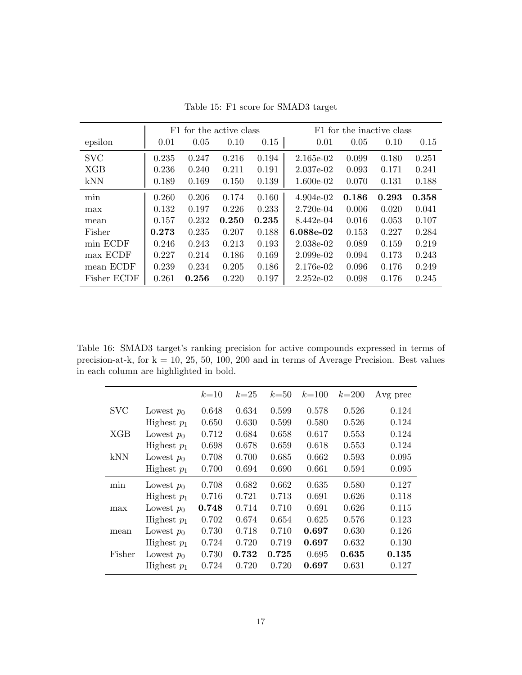<span id="page-16-0"></span>

|             |       |       | F1 for the active class |       |             | F1 for the inactive class |       |       |  |  |
|-------------|-------|-------|-------------------------|-------|-------------|---------------------------|-------|-------|--|--|
| epsilon     | 0.01  | 0.05  | 0.10                    | 0.15  | 0.01        | 0.05                      | 0.10  | 0.15  |  |  |
| <b>SVC</b>  | 0.235 | 0.247 | 0.216                   | 0.194 | 2.165e-02   | 0.099                     | 0.180 | 0.251 |  |  |
| <b>XGB</b>  | 0.236 | 0.240 | 0.211                   | 0.191 | $2.037e-02$ | 0.093                     | 0.171 | 0.241 |  |  |
| kNN         | 0.189 | 0.169 | 0.150                   | 0.139 | $1.600e-02$ | 0.070                     | 0.131 | 0.188 |  |  |
| min         | 0.260 | 0.206 | 0.174                   | 0.160 | $4.904e-02$ | 0.186                     | 0.293 | 0.358 |  |  |
| max         | 0.132 | 0.197 | 0.226                   | 0.233 | 2.720e-04   | 0.006                     | 0.020 | 0.041 |  |  |
| mean        | 0.157 | 0.232 | 0.250                   | 0.235 | 8.442e-04   | 0.016                     | 0.053 | 0.107 |  |  |
| Fisher      | 0.273 | 0.235 | 0.207                   | 0.188 | 6.088e-02   | 0.153                     | 0.227 | 0.284 |  |  |
| min ECDF    | 0.246 | 0.243 | 0.213                   | 0.193 | 2.038e-02   | 0.089                     | 0.159 | 0.219 |  |  |
| max ECDF    | 0.227 | 0.214 | 0.186                   | 0.169 | $2.099e-02$ | 0.094                     | 0.173 | 0.243 |  |  |
| mean ECDF   | 0.239 | 0.234 | 0.205                   | 0.186 | 2.176e-02   | 0.096                     | 0.176 | 0.249 |  |  |
| Fisher ECDF | 0.261 | 0.256 | 0.220                   | 0.197 | $2.252e-02$ | 0.098                     | 0.176 | 0.245 |  |  |

Table 15: F1 score for SMAD3 target

<span id="page-16-1"></span>Table 16: SMAD3 target's ranking precision for active compounds expressed in terms of precision-at-k, for  $k = 10, 25, 50, 100, 200$  and in terms of Average Precision. Best values in each column are highlighted in bold.

|            |               | $k=10$ | $k=25$ | $k=50$ | $k = 100$ | $k = 200$ | Avg prec |
|------------|---------------|--------|--------|--------|-----------|-----------|----------|
| <b>SVC</b> | Lowest $p_0$  | 0.648  | 0.634  | 0.599  | 0.578     | 0.526     | 0.124    |
|            | Highest $p_1$ | 0.650  | 0.630  | 0.599  | 0.580     | 0.526     | 0.124    |
| XGB        | Lowest $p_0$  | 0.712  | 0.684  | 0.658  | 0.617     | 0.553     | 0.124    |
|            | Highest $p_1$ | 0.698  | 0.678  | 0.659  | 0.618     | 0.553     | 0.124    |
| kNN        | Lowest $p_0$  | 0.708  | 0.700  | 0.685  | 0.662     | 0.593     | 0.095    |
|            | Highest $p_1$ | 0.700  | 0.694  | 0.690  | 0.661     | 0.594     | 0.095    |
| min        | Lowest $p_0$  | 0.708  | 0.682  | 0.662  | 0.635     | 0.580     | 0.127    |
|            | Highest $p_1$ | 0.716  | 0.721  | 0.713  | 0.691     | 0.626     | 0.118    |
| max        | Lowest $p_0$  | 0.748  | 0.714  | 0.710  | 0.691     | 0.626     | 0.115    |
|            | Highest $p_1$ | 0.702  | 0.674  | 0.654  | 0.625     | 0.576     | 0.123    |
| mean       | Lowest $p_0$  | 0.730  | 0.718  | 0.710  | 0.697     | 0.630     | 0.126    |
|            | Highest $p_1$ | 0.724  | 0.720  | 0.719  | 0.697     | 0.632     | 0.130    |
| Fisher     | Lowest $p_0$  | 0.730  | 0.732  | 0.725  | 0.695     | 0.635     | 0.135    |
|            | Highest $p_1$ | 0.724  | 0.720  | 0.720  | 0.697     | 0.631     | 0.127    |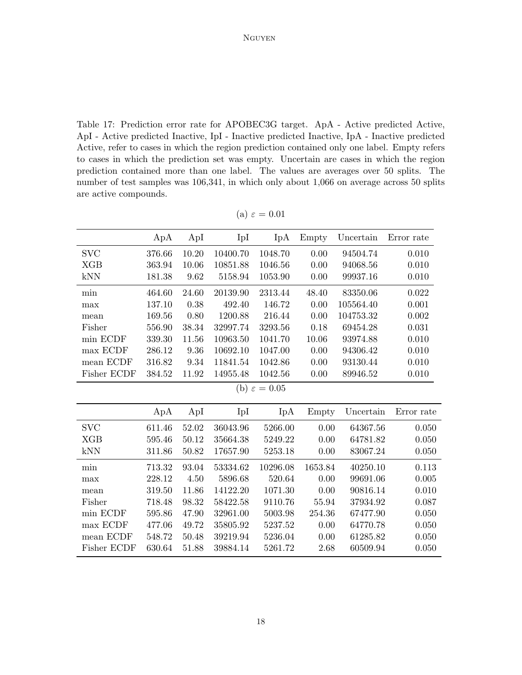<span id="page-17-0"></span>Table 17: Prediction error rate for APOBEC3G target. ApA - Active predicted Active, ApI - Active predicted Inactive, IpI - Inactive predicted Inactive, IpA - Inactive predicted Active, refer to cases in which the region prediction contained only one label. Empty refers to cases in which the prediction set was empty. Uncertain are cases in which the region prediction contained more than one label. The values are averages over 50 splits. The number of test samples was  $106,341$ , in which only about 1,066 on average across 50 splits are active compounds.

|                          | ApA    | ApI   | IpI      | IpA      | Empty   | Uncertain | Error rate |  |  |  |
|--------------------------|--------|-------|----------|----------|---------|-----------|------------|--|--|--|
| <b>SVC</b>               | 376.66 | 10.20 | 10400.70 | 1048.70  | 0.00    | 94504.74  | 0.010      |  |  |  |
| <b>XGB</b>               | 363.94 | 10.06 | 10851.88 | 1046.56  | 0.00    | 94068.56  | 0.010      |  |  |  |
| kNN                      | 181.38 | 9.62  | 5158.94  | 1053.90  | 0.00    | 99937.16  | 0.010      |  |  |  |
| min                      | 464.60 | 24.60 | 20139.90 | 2313.44  | 48.40   | 83350.06  | 0.022      |  |  |  |
| max                      | 137.10 | 0.38  | 492.40   | 146.72   | 0.00    | 105564.40 | 0.001      |  |  |  |
| mean                     | 169.56 | 0.80  | 1200.88  | 216.44   | 0.00    | 104753.32 | 0.002      |  |  |  |
| Fisher                   | 556.90 | 38.34 | 32997.74 | 3293.56  | 0.18    | 69454.28  | 0.031      |  |  |  |
| min ECDF                 | 339.30 | 11.56 | 10963.50 | 1041.70  | 10.06   | 93974.88  | 0.010      |  |  |  |
| max ECDF                 | 286.12 | 9.36  | 10692.10 | 1047.00  | 0.00    | 94306.42  | 0.010      |  |  |  |
| mean ECDF                | 316.82 | 9.34  | 11841.54 | 1042.86  | 0.00    | 93130.44  | 0.010      |  |  |  |
| Fisher ECDF              | 384.52 | 11.92 | 14955.48 | 1042.56  | 0.00    | 89946.52  | 0.010      |  |  |  |
| (b) $\varepsilon = 0.05$ |        |       |          |          |         |           |            |  |  |  |
|                          | ApA    | ApI   | IpI      | IpA      | Empty   | Uncertain | Error rate |  |  |  |
| <b>SVC</b>               | 611.46 | 52.02 | 36043.96 | 5266.00  | 0.00    | 64367.56  | 0.050      |  |  |  |
| XGB                      | 595.46 | 50.12 | 35664.38 | 5249.22  | 0.00    | 64781.82  | 0.050      |  |  |  |
| kNN                      | 311.86 | 50.82 | 17657.90 | 5253.18  | 0.00    | 83067.24  | 0.050      |  |  |  |
| min                      | 713.32 | 93.04 | 53334.62 | 10296.08 | 1653.84 | 40250.10  | 0.113      |  |  |  |
| max                      | 228.12 | 4.50  | 5896.68  | 520.64   | 0.00    | 99691.06  | 0.005      |  |  |  |
| mean                     | 319.50 | 11.86 | 14122.20 | 1071.30  | 0.00    | 90816.14  | 0.010      |  |  |  |
| Fisher                   | 718.48 | 98.32 | 58422.58 | 9110.76  | 55.94   | 37934.92  | 0.087      |  |  |  |
| min ECDF                 | 595.86 | 47.90 | 32961.00 | 5003.98  | 254.36  | 67477.90  | 0.050      |  |  |  |
| max ECDF                 | 477.06 | 49.72 | 35805.92 | 5237.52  | 0.00    | 64770.78  | 0.050      |  |  |  |
| mean ECDF                | 548.72 | 50.48 | 39219.94 | 5236.04  | 0.00    | 61285.82  | 0.050      |  |  |  |
| Fisher ECDF              | 630.64 | 51.88 | 39884.14 | 5261.72  | 2.68    | 60509.94  | 0.050      |  |  |  |
|                          |        |       |          |          |         |           |            |  |  |  |

(a)  $\varepsilon = 0.01$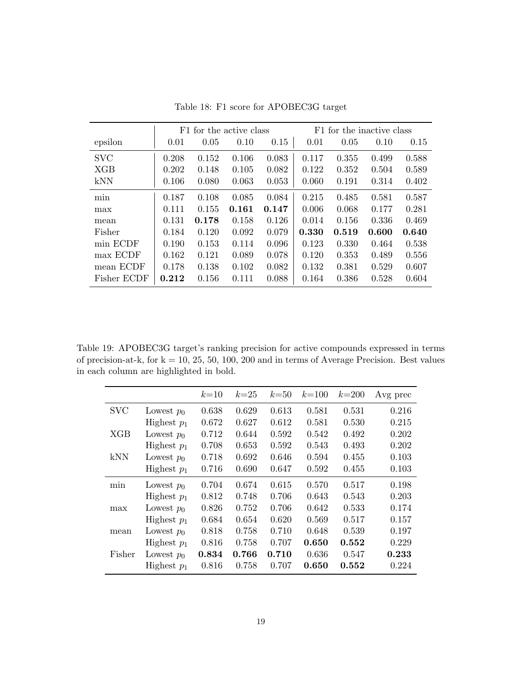<span id="page-18-0"></span>

|             |       |       | F1 for the active class |       | F1 for the inactive class |       |       |       |  |
|-------------|-------|-------|-------------------------|-------|---------------------------|-------|-------|-------|--|
| epsilon     | 0.01  | 0.05  | 0.10                    | 0.15  | 0.01                      | 0.05  | 0.10  | 0.15  |  |
| <b>SVC</b>  | 0.208 | 0.152 | 0.106                   | 0.083 | 0.117                     | 0.355 | 0.499 | 0.588 |  |
| <b>XGB</b>  | 0.202 | 0.148 | 0.105                   | 0.082 | 0.122                     | 0.352 | 0.504 | 0.589 |  |
| kNN         | 0.106 | 0.080 | 0.063                   | 0.053 | 0.060                     | 0.191 | 0.314 | 0.402 |  |
| min         | 0.187 | 0.108 | 0.085                   | 0.084 | 0.215                     | 0.485 | 0.581 | 0.587 |  |
| max         | 0.111 | 0.155 | 0.161                   | 0.147 | 0.006                     | 0.068 | 0.177 | 0.281 |  |
| mean        | 0.131 | 0.178 | 0.158                   | 0.126 | 0.014                     | 0.156 | 0.336 | 0.469 |  |
| Fisher      | 0.184 | 0.120 | 0.092                   | 0.079 | 0.330                     | 0.519 | 0.600 | 0.640 |  |
| min ECDF    | 0.190 | 0.153 | 0.114                   | 0.096 | 0.123                     | 0.330 | 0.464 | 0.538 |  |
| max ECDF    | 0.162 | 0.121 | 0.089                   | 0.078 | 0.120                     | 0.353 | 0.489 | 0.556 |  |
| mean ECDF   | 0.178 | 0.138 | 0.102                   | 0.082 | 0.132                     | 0.381 | 0.529 | 0.607 |  |
| Fisher ECDF | 0.212 | 0.156 | 0.111                   | 0.088 | 0.164                     | 0.386 | 0.528 | 0.604 |  |

Table 18: F1 score for APOBEC3G target

<span id="page-18-1"></span>Table 19: APOBEC3G target's ranking precision for active compounds expressed in terms of precision-at-k, for  $k = 10, 25, 50, 100, 200$  and in terms of Average Precision. Best values in each column are highlighted in bold.

|            |               | $k=10$ | $k=25$ | $k=50$ | $k = 100$ | $k = 200$ | Avg prec |
|------------|---------------|--------|--------|--------|-----------|-----------|----------|
| <b>SVC</b> | Lowest $p_0$  | 0.638  | 0.629  | 0.613  | 0.581     | 0.531     | 0.216    |
|            | Highest $p_1$ | 0.672  | 0.627  | 0.612  | 0.581     | 0.530     | 0.215    |
| XGB        | Lowest $p_0$  | 0.712  | 0.644  | 0.592  | 0.542     | 0.492     | 0.202    |
|            | Highest $p_1$ | 0.708  | 0.653  | 0.592  | 0.543     | 0.493     | 0.202    |
| kNN        | Lowest $p_0$  | 0.718  | 0.692  | 0.646  | 0.594     | 0.455     | 0.103    |
|            | Highest $p_1$ | 0.716  | 0.690  | 0.647  | 0.592     | 0.455     | 0.103    |
| min        | Lowest $p_0$  | 0.704  | 0.674  | 0.615  | 0.570     | 0.517     | 0.198    |
|            | Highest $p_1$ | 0.812  | 0.748  | 0.706  | 0.643     | 0.543     | 0.203    |
| max        | Lowest $p_0$  | 0.826  | 0.752  | 0.706  | 0.642     | 0.533     | 0.174    |
|            | Highest $p_1$ | 0.684  | 0.654  | 0.620  | 0.569     | 0.517     | 0.157    |
| mean       | Lowest $p_0$  | 0.818  | 0.758  | 0.710  | 0.648     | 0.539     | 0.197    |
|            | Highest $p_1$ | 0.816  | 0.758  | 0.707  | 0.650     | 0.552     | 0.229    |
| Fisher     | Lowest $p_0$  | 0.834  | 0.766  | 0.710  | 0.636     | 0.547     | 0.233    |
|            | Highest $p_1$ | 0.816  | 0.758  | 0.707  | 0.650     | 0.552     | 0.224    |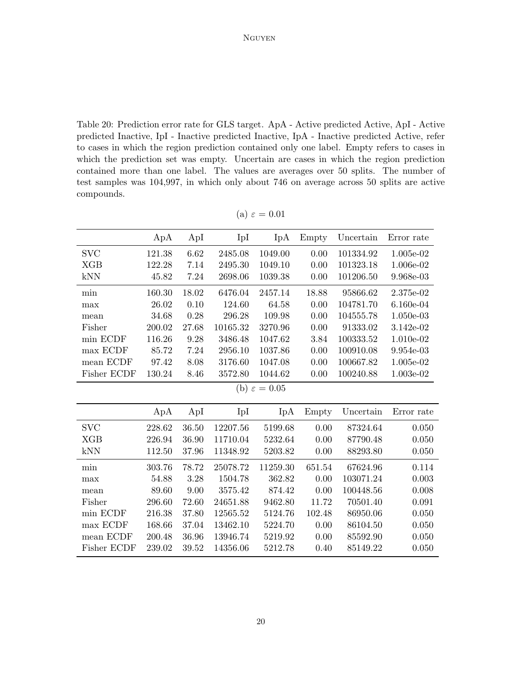<span id="page-19-0"></span>Table 20: Prediction error rate for GLS target. ApA - Active predicted Active, ApI - Active predicted Inactive, IpI - Inactive predicted Inactive, IpA - Inactive predicted Active, refer to cases in which the region prediction contained only one label. Empty refers to cases in which the prediction set was empty. Uncertain are cases in which the region prediction contained more than one label. The values are averages over 50 splits. The number of test samples was 104,997, in which only about 746 on average across 50 splits are active compounds.

|             | ApA    | ApI   | IpI      | IpA                      | Empty  | Uncertain | Error rate |
|-------------|--------|-------|----------|--------------------------|--------|-----------|------------|
| <b>SVC</b>  | 121.38 | 6.62  | 2485.08  | 1049.00                  | 0.00   | 101334.92 | 1.005e-02  |
| <b>XGB</b>  | 122.28 | 7.14  | 2495.30  | 1049.10                  | 0.00   | 101323.18 | 1.006e-02  |
| kNN         | 45.82  | 7.24  | 2698.06  | 1039.38                  | 0.00   | 101206.50 | 9.968e-03  |
| min         | 160.30 | 18.02 | 6476.04  | 2457.14                  | 18.88  | 95866.62  | 2.375e-02  |
| max         | 26.02  | 0.10  | 124.60   | 64.58                    | 0.00   | 104781.70 | 6.160e-04  |
| mean        | 34.68  | 0.28  | 296.28   | 109.98                   | 0.00   | 104555.78 | 1.050e-03  |
| Fisher      | 200.02 | 27.68 | 10165.32 | 3270.96                  | 0.00   | 91333.02  | 3.142e-02  |
| min ECDF    | 116.26 | 9.28  | 3486.48  | 1047.62                  | 3.84   | 100333.52 | 1.010e-02  |
| max ECDF    | 85.72  | 7.24  | 2956.10  | 1037.86                  | 0.00   | 100910.08 | 9.954e-03  |
| mean ECDF   | 97.42  | 8.08  | 3176.60  | 1047.08                  | 0.00   | 100667.82 | 1.005e-02  |
| Fisher ECDF | 130.24 | 8.46  | 3572.80  | 1044.62                  | 0.00   | 100240.88 | 1.003e-02  |
|             |        |       |          | (b) $\varepsilon = 0.05$ |        |           |            |
|             | ApA    | ApI   | IpI      | IpA                      | Empty  | Uncertain | Error rate |
| <b>SVC</b>  | 228.62 | 36.50 | 12207.56 | 5199.68                  | 0.00   | 87324.64  | 0.050      |
| <b>XGB</b>  | 226.94 | 36.90 | 11710.04 | 5232.64                  | 0.00   | 87790.48  | 0.050      |
| kNN         | 112.50 | 37.96 | 11348.92 | 5203.82                  | 0.00   | 88293.80  | 0.050      |
| min         | 303.76 | 78.72 | 25078.72 | 11259.30                 | 651.54 | 67624.96  | 0.114      |
| max         | 54.88  | 3.28  | 1504.78  | 362.82                   | 0.00   | 103071.24 | 0.003      |
| mean        | 89.60  | 9.00  | 3575.42  | 874.42                   | 0.00   | 100448.56 | 0.008      |
| Fisher      | 296.60 | 72.60 | 24651.88 | 9462.80                  | 11.72  | 70501.40  | 0.091      |
| min ECDF    | 216.38 | 37.80 | 12565.52 | 5124.76                  | 102.48 | 86950.06  | 0.050      |
| max ECDF    | 168.66 | 37.04 | 13462.10 | 5224.70                  | 0.00   | 86104.50  | 0.050      |
| mean ECDF   | 200.48 | 36.96 | 13946.74 | 5219.92                  | 0.00   | 85592.90  | 0.050      |
| Fisher ECDF | 239.02 | 39.52 | 14356.06 | 5212.78                  | 0.40   | 85149.22  | 0.050      |

(a)  $\varepsilon = 0.01$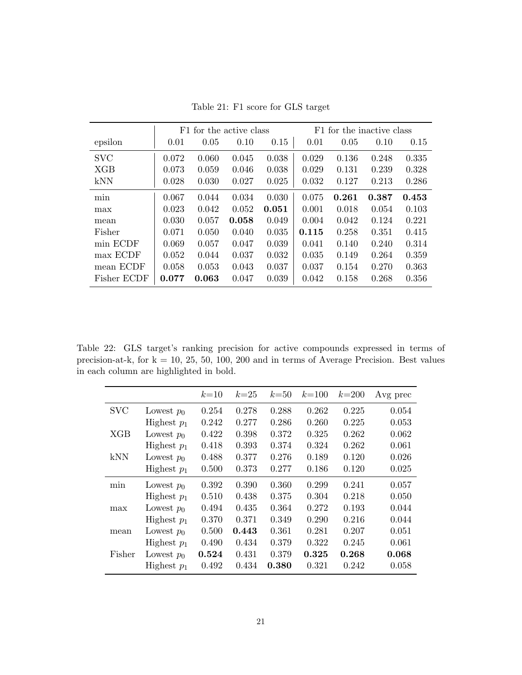<span id="page-20-0"></span>

|             |       | F1 for the active class |       |       | F1 for the inactive class |       |       |       |  |
|-------------|-------|-------------------------|-------|-------|---------------------------|-------|-------|-------|--|
| epsilon     | 0.01  | 0.05                    | 0.10  | 0.15  | 0.01                      | 0.05  | 0.10  | 0.15  |  |
| <b>SVC</b>  | 0.072 | 0.060                   | 0.045 | 0.038 | 0.029                     | 0.136 | 0.248 | 0.335 |  |
| <b>XGB</b>  | 0.073 | 0.059                   | 0.046 | 0.038 | 0.029                     | 0.131 | 0.239 | 0.328 |  |
| kNN         | 0.028 | 0.030                   | 0.027 | 0.025 | 0.032                     | 0.127 | 0.213 | 0.286 |  |
| min         | 0.067 | 0.044                   | 0.034 | 0.030 | 0.075                     | 0.261 | 0.387 | 0.453 |  |
| max         | 0.023 | 0.042                   | 0.052 | 0.051 | 0.001                     | 0.018 | 0.054 | 0.103 |  |
| mean        | 0.030 | 0.057                   | 0.058 | 0.049 | 0.004                     | 0.042 | 0.124 | 0.221 |  |
| Fisher      | 0.071 | 0.050                   | 0.040 | 0.035 | 0.115                     | 0.258 | 0.351 | 0.415 |  |
| min ECDF    | 0.069 | 0.057                   | 0.047 | 0.039 | 0.041                     | 0.140 | 0.240 | 0.314 |  |
| max ECDF    | 0.052 | 0.044                   | 0.037 | 0.032 | 0.035                     | 0.149 | 0.264 | 0.359 |  |
| mean ECDF   | 0.058 | 0.053                   | 0.043 | 0.037 | 0.037                     | 0.154 | 0.270 | 0.363 |  |
| Fisher ECDF | 0.077 | 0.063                   | 0.047 | 0.039 | 0.042                     | 0.158 | 0.268 | 0.356 |  |

Table 21: F1 score for GLS target

<span id="page-20-1"></span>Table 22: GLS target's ranking precision for active compounds expressed in terms of precision-at-k, for  $k = 10, 25, 50, 100, 200$  and in terms of Average Precision. Best values in each column are highlighted in bold.

|            |               | $k=10$ | $k=25$ | $k=50$      | $k = 100$ | $k = 200$ | Avg prec |
|------------|---------------|--------|--------|-------------|-----------|-----------|----------|
| <b>SVC</b> | Lowest $p_0$  | 0.254  | 0.278  | 0.288       | 0.262     | 0.225     | 0.054    |
|            | Highest $p_1$ | 0.242  | 0.277  | 0.286       | 0.260     | 0.225     | 0.053    |
| XGB        | Lowest $p_0$  | 0.422  | 0.398  | 0.372       | 0.325     | 0.262     | 0.062    |
|            | Highest $p_1$ | 0.418  | 0.393  | 0.374       | 0.324     | 0.262     | 0.061    |
| kNN        | Lowest $p_0$  | 0.488  | 0.377  | 0.276       | 0.189     | 0.120     | 0.026    |
|            | Highest $p_1$ | 0.500  | 0.373  | 0.277       | 0.186     | 0.120     | 0.025    |
| min        | Lowest $p_0$  | 0.392  | 0.390  | 0.360       | 0.299     | 0.241     | 0.057    |
|            | Highest $p_1$ | 0.510  | 0.438  | 0.375       | 0.304     | 0.218     | 0.050    |
| max        | Lowest $p_0$  | 0.494  | 0.435  | 0.364       | 0.272     | 0.193     | 0.044    |
|            | Highest $p_1$ | 0.370  | 0.371  | 0.349       | 0.290     | 0.216     | 0.044    |
| mean       | Lowest $p_0$  | 0.500  | 0.443  | 0.361       | 0.281     | 0.207     | 0.051    |
|            | Highest $p_1$ | 0.490  | 0.434  | 0.379       | 0.322     | 0.245     | 0.061    |
| Fisher     | Lowest $p_0$  | 0.524  | 0.431  | 0.379       | 0.325     | 0.268     | 0.068    |
|            | Highest $p_1$ | 0.492  | 0.434  | $\,0.380\,$ | 0.321     | 0.242     | 0.058    |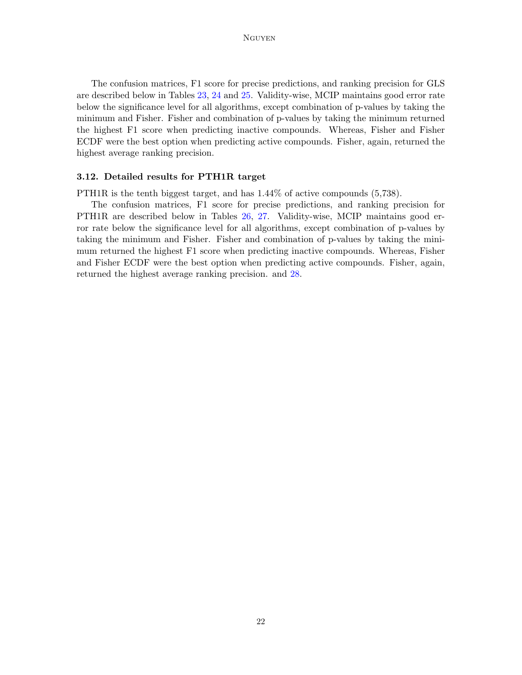The confusion matrices, F1 score for precise predictions, and ranking precision for GLS are described below in Tables [23,](#page-22-0) [24](#page-23-0) and [25.](#page-23-1) Validity-wise, MCIP maintains good error rate below the significance level for all algorithms, except combination of p-values by taking the minimum and Fisher. Fisher and combination of p-values by taking the minimum returned the highest F1 score when predicting inactive compounds. Whereas, Fisher and Fisher ECDF were the best option when predicting active compounds. Fisher, again, returned the highest average ranking precision.

### 3.12. Detailed results for PTH1R target

PTH1R is the tenth biggest target, and has 1.44% of active compounds (5,738).

The confusion matrices, F1 score for precise predictions, and ranking precision for PTH1R are described below in Tables [26,](#page-24-0) [27.](#page-25-0) Validity-wise, MCIP maintains good error rate below the significance level for all algorithms, except combination of p-values by taking the minimum and Fisher. Fisher and combination of p-values by taking the minimum returned the highest F1 score when predicting inactive compounds. Whereas, Fisher and Fisher ECDF were the best option when predicting active compounds. Fisher, again, returned the highest average ranking precision. and [28.](#page-25-1)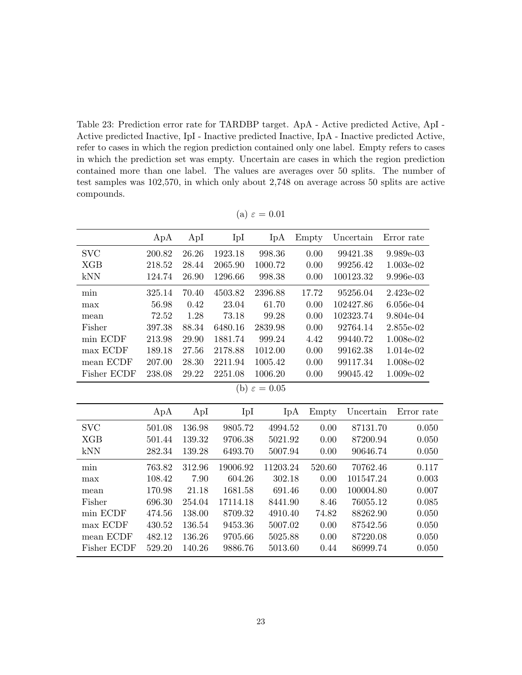<span id="page-22-0"></span>Table 23: Prediction error rate for TARDBP target. ApA - Active predicted Active, ApI - Active predicted Inactive, IpI - Inactive predicted Inactive, IpA - Inactive predicted Active, refer to cases in which the region prediction contained only one label. Empty refers to cases in which the prediction set was empty. Uncertain are cases in which the region prediction contained more than one label. The values are averages over 50 splits. The number of test samples was 102,570, in which only about 2,748 on average across 50 splits are active compounds.

|             | ApA    | ApI    | IpI      | IpA                      | Empty  | Uncertain | Error rate |
|-------------|--------|--------|----------|--------------------------|--------|-----------|------------|
| <b>SVC</b>  | 200.82 | 26.26  | 1923.18  | 998.36                   | 0.00   | 99421.38  | 9.989e-03  |
| <b>XGB</b>  | 218.52 | 28.44  | 2065.90  | 1000.72                  | 0.00   | 99256.42  | 1.003e-02  |
| kNN         | 124.74 | 26.90  | 1296.66  | 998.38                   | 0.00   | 100123.32 | 9.996e-03  |
| min         | 325.14 | 70.40  | 4503.82  | 2396.88                  | 17.72  | 95256.04  | 2.423e-02  |
| max         | 56.98  | 0.42   | 23.04    | 61.70                    | 0.00   | 102427.86 | 6.056e-04  |
| mean        | 72.52  | 1.28   | 73.18    | 99.28                    | 0.00   | 102323.74 | 9.804e-04  |
| Fisher      | 397.38 | 88.34  | 6480.16  | 2839.98                  | 0.00   | 92764.14  | 2.855e-02  |
| min ECDF    | 213.98 | 29.90  | 1881.74  | 999.24                   | 4.42   | 99440.72  | 1.008e-02  |
| max ECDF    | 189.18 | 27.56  | 2178.88  | 1012.00                  | 0.00   | 99162.38  | 1.014e-02  |
| mean ECDF   | 207.00 | 28.30  | 2211.94  | 1005.42                  | 0.00   | 99117.34  | 1.008e-02  |
| Fisher ECDF | 238.08 | 29.22  | 2251.08  | 1006.20                  | 0.00   | 99045.42  | 1.009e-02  |
|             |        |        |          | (b) $\varepsilon = 0.05$ |        |           |            |
|             | ApA    | ApI    | IpI      | IpA                      | Empty  | Uncertain | Error rate |
| <b>SVC</b>  | 501.08 | 136.98 | 9805.72  | 4994.52                  | 0.00   | 87131.70  | 0.050      |
| <b>XGB</b>  | 501.44 | 139.32 | 9706.38  | 5021.92                  | 0.00   | 87200.94  | 0.050      |
| kNN         | 282.34 | 139.28 | 6493.70  | 5007.94                  | 0.00   | 90646.74  | 0.050      |
| min         | 763.82 | 312.96 | 19006.92 | 11203.24                 | 520.60 | 70762.46  | 0.117      |
| max         | 108.42 | 7.90   | 604.26   | 302.18                   | 0.00   | 101547.24 | 0.003      |
| mean        | 170.98 | 21.18  | 1681.58  | 691.46                   | 0.00   | 100004.80 | 0.007      |
| Fisher      | 696.30 | 254.04 | 17114.18 | 8441.90                  | 8.46   | 76055.12  | 0.085      |
| min ECDF    | 474.56 | 138.00 | 8709.32  | 4910.40                  | 74.82  | 88262.90  | 0.050      |
| max ECDF    | 430.52 | 136.54 | 9453.36  | 5007.02                  | 0.00   | 87542.56  | 0.050      |
| mean ECDF   | 482.12 | 136.26 | 9705.66  | 5025.88                  | 0.00   | 87220.08  | 0.050      |
| Fisher ECDF | 529.20 | 140.26 | 9886.76  | 5013.60                  | 0.44   | 86999.74  | 0.050      |

(a)  $\varepsilon = 0.01$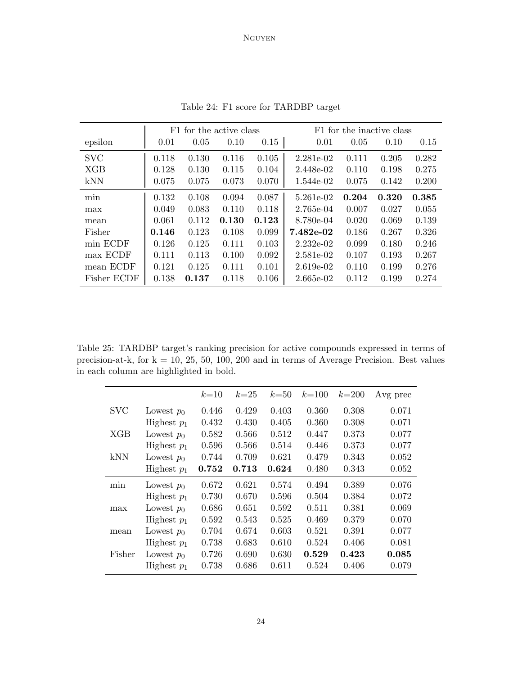<span id="page-23-0"></span>

|             | F1 for the active class |       |       |       | F1 for the inactive class |       |       |       |
|-------------|-------------------------|-------|-------|-------|---------------------------|-------|-------|-------|
| epsilon     | 0.01                    | 0.05  | 0.10  | 0.15  | 0.01                      | 0.05  | 0.10  | 0.15  |
| <b>SVC</b>  | 0.118                   | 0.130 | 0.116 | 0.105 | 2.281e-02                 | 0.111 | 0.205 | 0.282 |
| <b>XGB</b>  | 0.128                   | 0.130 | 0.115 | 0.104 | 2.448e-02                 | 0.110 | 0.198 | 0.275 |
| kNN         | 0.075                   | 0.075 | 0.073 | 0.070 | 1.544e-02                 | 0.075 | 0.142 | 0.200 |
| min         | 0.132                   | 0.108 | 0.094 | 0.087 | 5.261e-02                 | 0.204 | 0.320 | 0.385 |
| max         | 0.049                   | 0.083 | 0.110 | 0.118 | 2.765e-04                 | 0.007 | 0.027 | 0.055 |
| mean        | 0.061                   | 0.112 | 0.130 | 0.123 | 8.780e-04                 | 0.020 | 0.069 | 0.139 |
| Fisher      | 0.146                   | 0.123 | 0.108 | 0.099 | 7.482e-02                 | 0.186 | 0.267 | 0.326 |
| min ECDF    | 0.126                   | 0.125 | 0.111 | 0.103 | $2.232e-02$               | 0.099 | 0.180 | 0.246 |
| max ECDF    | 0.111                   | 0.113 | 0.100 | 0.092 | 2.581e-02                 | 0.107 | 0.193 | 0.267 |
| mean ECDF   | 0.121                   | 0.125 | 0.111 | 0.101 | $2.619e-02$               | 0.110 | 0.199 | 0.276 |
| Fisher ECDF | 0.138                   | 0.137 | 0.118 | 0.106 | 2.665e-02                 | 0.112 | 0.199 | 0.274 |

Table 24: F1 score for TARDBP target

<span id="page-23-1"></span>Table 25: TARDBP target's ranking precision for active compounds expressed in terms of precision-at-k, for  $k = 10, 25, 50, 100, 200$  and in terms of Average Precision. Best values in each column are highlighted in bold.

|            |               | $k=10$ | $k=25$ | $k=50$ | $k = 100$ | $k = 200$ | Avg prec |
|------------|---------------|--------|--------|--------|-----------|-----------|----------|
| <b>SVC</b> | Lowest $p_0$  | 0.446  | 0.429  | 0.403  | 0.360     | 0.308     | 0.071    |
|            | Highest $p_1$ | 0.432  | 0.430  | 0.405  | 0.360     | 0.308     | 0.071    |
| XGB        | Lowest $p_0$  | 0.582  | 0.566  | 0.512  | 0.447     | 0.373     | 0.077    |
|            | Highest $p_1$ | 0.596  | 0.566  | 0.514  | 0.446     | 0.373     | 0.077    |
| kNN        | Lowest $p_0$  | 0.744  | 0.709  | 0.621  | 0.479     | 0.343     | 0.052    |
|            | Highest $p_1$ | 0.752  | 0.713  | 0.624  | 0.480     | 0.343     | 0.052    |
| min        | Lowest $p_0$  | 0.672  | 0.621  | 0.574  | 0.494     | 0.389     | 0.076    |
|            | Highest $p_1$ | 0.730  | 0.670  | 0.596  | 0.504     | 0.384     | 0.072    |
| max        | Lowest $p_0$  | 0.686  | 0.651  | 0.592  | 0.511     | 0.381     | 0.069    |
|            | Highest $p_1$ | 0.592  | 0.543  | 0.525  | 0.469     | 0.379     | 0.070    |
| mean       | Lowest $p_0$  | 0.704  | 0.674  | 0.603  | 0.521     | 0.391     | 0.077    |
|            | Highest $p_1$ | 0.738  | 0.683  | 0.610  | 0.524     | 0.406     | 0.081    |
| Fisher     | Lowest $p_0$  | 0.726  | 0.690  | 0.630  | 0.529     | 0.423     | 0.085    |
|            | Highest $p_1$ | 0.738  | 0.686  | 0.611  | 0.524     | 0.406     | 0.079    |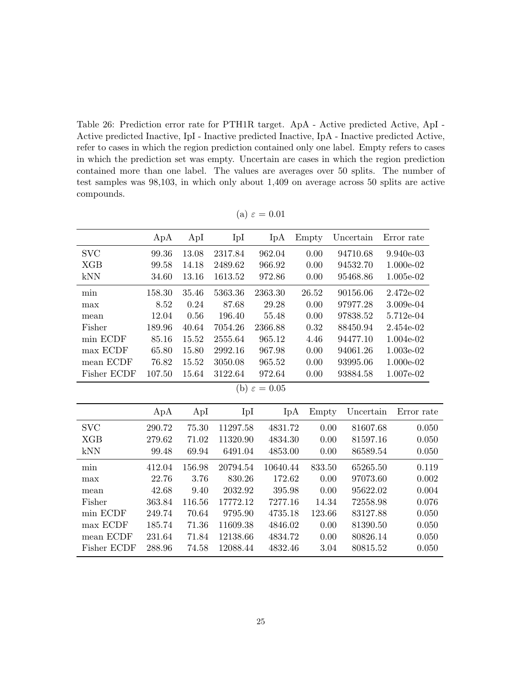<span id="page-24-0"></span>Table 26: Prediction error rate for PTH1R target. ApA - Active predicted Active, ApI - Active predicted Inactive, IpI - Inactive predicted Inactive, IpA - Inactive predicted Active, refer to cases in which the region prediction contained only one label. Empty refers to cases in which the prediction set was empty. Uncertain are cases in which the region prediction contained more than one label. The values are averages over 50 splits. The number of test samples was 98,103, in which only about 1,409 on average across 50 splits are active compounds.

|                          | ApA    | ApI    | IpI      | IpA              | Empty            | Uncertain | Error rate        |  |  |
|--------------------------|--------|--------|----------|------------------|------------------|-----------|-------------------|--|--|
| <b>SVC</b>               | 99.36  | 13.08  | 2317.84  | 962.04           | 0.00<br>94710.68 |           | 9.940e-03         |  |  |
| <b>XGB</b>               | 99.58  | 14.18  | 2489.62  | 966.92           | 0.00             | 94532.70  | 1.000e-02         |  |  |
| kNN                      | 34.60  | 13.16  | 1613.52  | 972.86           | 0.00<br>95468.86 |           | 1.005e-02         |  |  |
| min                      | 158.30 | 35.46  | 5363.36  | 2363.30<br>26.52 |                  | 90156.06  | 2.472e-02         |  |  |
| max                      | 8.52   | 0.24   | 87.68    | 29.28            | 0.00             | 97977.28  | 3.009e-04         |  |  |
| mean                     | 12.04  | 0.56   | 196.40   | 55.48            | 0.00             | 97838.52  | 5.712e-04         |  |  |
| Fisher                   | 189.96 | 40.64  | 7054.26  | 2366.88          | 0.32             | 88450.94  | 2.454e-02         |  |  |
| min ECDF                 | 85.16  | 15.52  | 2555.64  | 965.12           | 4.46             | 94477.10  | 1.004e-02         |  |  |
| max ECDF                 | 65.80  | 15.80  | 2992.16  | 967.98           | 0.00             | 94061.26  | 1.003e-02         |  |  |
| mean ECDF                | 76.82  | 15.52  | 3050.08  | 965.52           | 0.00             | 93995.06  | 1.000e-02         |  |  |
| Fisher ECDF              | 107.50 | 15.64  | 3122.64  | 972.64           | 0.00             | 93884.58  | 1.007e-02         |  |  |
| (b) $\varepsilon = 0.05$ |        |        |          |                  |                  |           |                   |  |  |
|                          | ApA    | ApI    | IpI      | IpA              | Empty            | Uncertain | Error rate        |  |  |
| <b>SVC</b>               | 290.72 | 75.30  | 11297.58 | 4831.72          | 0.00             | 81607.68  | 0.050             |  |  |
| <b>XGB</b>               | 279.62 | 71.02  | 11320.90 | 4834.30          | 0.00             | 81597.16  | 0.050             |  |  |
| kNN                      | 99.48  | 69.94  | 6491.04  | 4853.00          | 0.00             | 86589.54  | 0.050             |  |  |
| min                      | 412.04 | 156.98 | 20794.54 | 10640.44         | 833.50           | 65265.50  | 0.119             |  |  |
| max                      | 22.76  | 3.76   | 830.26   | 172.62           | 0.00             | 97073.60  | 0.002             |  |  |
| mean                     | 42.68  | 9.40   | 2032.92  | 395.98           | 0.00             | 95622.02  | 0.004             |  |  |
| Fisher                   | 363.84 | 116.56 | 17772.12 | 7277.16          | 14.34            | 72558.98  | 0.076             |  |  |
| min ECDF                 | 249.74 | 70.64  | 9795.90  | 4735.18          | 123.66           | 83127.88  | 0.050             |  |  |
| max ECDF                 | 185.74 | 71.36  | 11609.38 |                  | 4846.02<br>0.00  |           | 81390.50<br>0.050 |  |  |
| mean ECDF                | 231.64 | 71.84  | 12138.66 | 4834.72<br>0.00  |                  | 80826.14  | 0.050             |  |  |
| Fisher ECDF              | 288.96 | 74.58  | 12088.44 | 4832.46          | 3.04             | 80815.52  | 0.050             |  |  |

(a)  $\varepsilon = 0.01$